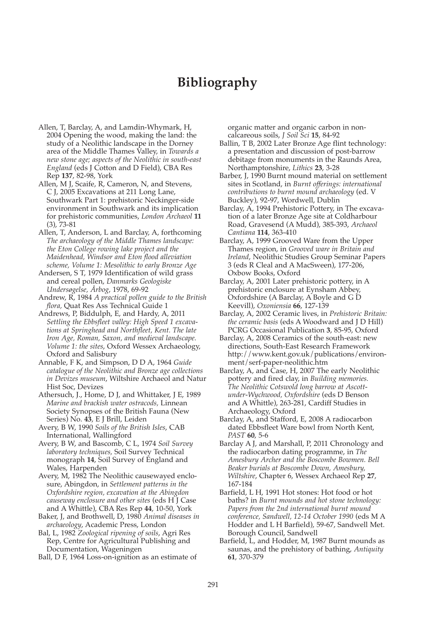## **Bibliography**

- Allen, T, Barclay, A, and Lamdin-Whymark, H, 2004 Opening the wood, making the land: the study of a Neolithic landscape in the Dorney area of the Middle Thames Valley, in *Towards a new stone age; aspects of the Neolithic in south-east England* (eds J Cotton and D Field), CBA Res Rep **137**, 82-98, York
- Allen, M J, Scaife, R, Cameron, N, and Stevens, C J, 2005 Excavations at 211 Long Lane, Southwark Part 1: prehistoric Neckinger-side environment in Southwark and its implication for prehistoric communities, *London Archaeol* **11** (3), 73-81
- Allen, T, Anderson, L and Barclay, A, forthcoming *The archaeology of the Middle Thames landscape: the Eton College rowing lake project and the Maidenhead, Windsor and Eton flood alleviation scheme, Volume 1: Mesolithic to early Bronze Age*
- Andersen, S T, 1979 Identification of wild grass and cereal pollen, *Danmarks Geologiske Undersøgelse, Årbog*, 1978, 69-92
- Andrew, R, 1984 *A practical pollen guide to the British flora,* Quat Res Ass Technical Guide 1
- Andrews, P, Biddulph, E, and Hardy, A, 2011 *Settling the Ebbsfleet valley: High Speed 1 excavations at Springhead and Northfleet, Kent. The late Iron Age, Roman, Saxon, and medieval landscape. Volume 1: the sites*, Oxford Wessex Archaeology, Oxford and Salisbury
- Annable, F K, and Simpson, D D A, 1964 *Guide catalogue of the Neolithic and Bronze age collections in Devizes museum*, Wiltshire Archaeol and Natur Hist Soc, Devizes
- Athersuch, J., Home, D J, and Whittaker, J E, 1989 *Marine and brackish water ostracods,* Linnean Society Synopses of the British Fauna (New Series) No. **43**, E J Brill, Leiden
- Avery, B W, 1990 *Soils of the British Isles*, CAB International, Wallingford
- Avery, B W, and Bascomb, C L, 1974 *Soil Survey laboratory techniques,* Soil Survey Technical monograph **14**, Soil Survey of England and Wales, Harpenden
- Avery, M, 1982 The Neolithic causewayed enclosure, Abingdon, in *Settlement patterns in the Oxfordshire region, excavation at the Abingdon causeway enclosure and other sites* (eds H J Case and A Whittle), CBA Res Rep **44**, 10-50, York
- Baker, J, and Brothwell, D, 1980 *Animal diseases in archaeology*, Academic Press, London
- Bal, L, 1982 *Zoological ripening of soils*, Agri Res Rep, Centre for Agricultural Publishing and Documentation, Wageningen
- Ball, D F, 1964 Loss-on-ignition as an estimate of

organic matter and organic carbon in noncalcareous soils, *J Soil Sci* **15**, 84-92

- Ballin, T B, 2002 Later Bronze Age flint technology: a presentation and discussion of post-barrow debitage from monuments in the Raunds Area, Northamptonshire, *Lithics* **23**, 3-28
- Barber, J, 1990 Burnt mound material on settlement sites in Scotland, in *Burnt offerings: international contributions to burnt mound archaeology* (ed. V Buckley), 92-97, Wordwell, Dublin
- Barclay, A, 1994 Prehistoric Pottery, in The excavation of a later Bronze Age site at Coldharbour Road, Gravesend (A Mudd), 385-393, *Archaeol Cantiana* **114**, 363-410
- Barclay, A, 1999 Grooved Ware from the Upper Thames region, in *Grooved ware in Britain and Ireland*, Neolithic Studies Group Seminar Papers 3 (eds R Cleal and A MacSween), 177-206, Oxbow Books, Oxford
- Barclay, A, 2001 Later prehistoric pottery, in A prehistoric enclosure at Eynsham Abbey, Oxfordshire (A Barclay, A Boyle and G D Keevill), *Oxoniensia* **66**, 127-139
- Barclay, A, 2002 Ceramic lives, in *Prehistoric Britain: the ceramic basis* (eds A Woodward and J D Hill) PCRG Occasional Publication **3**, 85-95, Oxford
- Barclay, A, 2008 Ceramics of the south-east: new directions, South-East Research Framework http://www.kent.gov.uk/publications/environment/serf-paper-neolithic.htm
- Barclay, A, and Case, H, 2007 The early Neolithic pottery and fired clay, in *Building memories. The Neolithic Cotswold long barrow at Ascottunder-Wychwood, Oxfordshire* (eds D Benson and A Whittle), 263-281, Cardiff Studies in Archaeology, Oxford
- Barclay, A, and Stafford, E, 2008 A radiocarbon dated Ebbsfleet Ware bowl from North Kent, *PAST* **60**, 5-6
- Barclay A J, and Marshall, P, 2011 Chronology and the radiocarbon dating programme, in *The Amesbury Archer and the Boscombe Bowmen. Bell Beaker burials at Boscombe Down, Amesbury, Wiltshire*, Chapter 6, Wessex Archaeol Rep **27**, 167-184
- Barfield, L H, 1991 Hot stones: Hot food or hot baths? in *Burnt mounds and hot stone technology: Papers from the 2nd international burnt mound conference, Sandwell, 12-14 October 1990* (eds M A Hodder and L H Barfield), 59-67, Sandwell Met. Borough Council, Sandwell
- Barfield, L, and Hodder, M, 1987 Burnt mounds as saunas, and the prehistory of bathing, *Antiquity* **61**, 370-379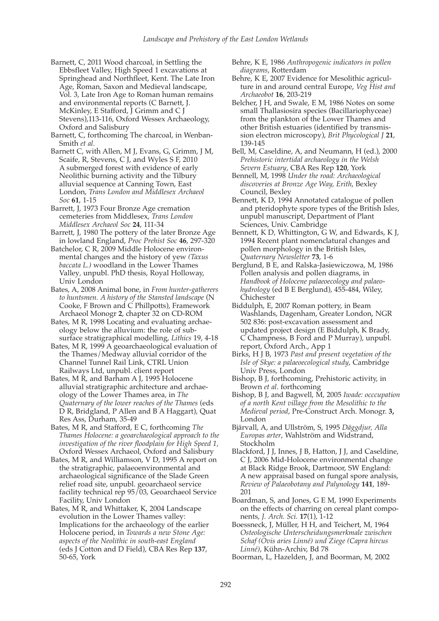- Barnett, C, 2011 Wood charcoal, in Settling the Ebbsfleet Valley, High Speed 1 excavations at Springhead and Northfleet, Kent. The Late Iron Age, Roman, Saxon and Medieval landscape, Vol. 3, Late Iron Age to Roman human remains and environmental reports (C Barnett, J. McKinley, E Stafford, J Grimm and C J Stevens),113-116, Oxford Wessex Archaeology, Oxford and Salisbury
- Barnett, C, forthcoming The charcoal, in Wenban-Smith *et al.*

Barnett C, with Allen, M J, Evans, G, Grimm, J M, Scaife, R, Stevens, C J, and Wyles S F, 2010 A submerged forest with evidence of early Neolithic burning activity and the Tilbury alluvial sequence at Canning Town, East London, *Trans London and Middlesex Archaeol Soc* **61**, 1-15

Barrett, J, 1973 Four Bronze Age cremation cemeteries from Middlesex, *Trans London Middlesex Archaeol Soc* **24**, 111-34

Barrett, J, 1980 The pottery of the later Bronze Age in lowland England, *Proc Prehist Soc* **46**, 297-320

Batchelor, C R, 2009 Middle Holocene environmental changes and the history of yew *(Taxus baccata L.)* woodland in the Lower Thames Valley*,* unpubl. PhD thesis, Royal Holloway, Univ London

Bates, A, 2008 Animal bone, in *From hunter-gatherers to huntsmen. A history of the Stansted landscape* (N Cooke, F Brown and C Phillpotts), Framework Archaeol Monogr **2**, chapter 32 on CD-ROM

Bates, M R, 1998 Locating and evaluating archaeology below the alluvium: the role of subsurface stratigraphical modelling, *Lithics* 19, 4-18

Bates, M R, 1999 A geoarchaeological evaluation of the Thames/Medway alluvial corridor of the Channel Tunnel Rail Link, CTRL Union Railways Ltd, unpubl. client report

Bates, M R, and Barham A J, 1995 Holocene alluvial stratigraphic architecture and archaeology of the Lower Thames area, in *The Quaternary of the lower reaches of the Thames* (eds D R, Bridgland, P Allen and B A Haggart), Quat Res Ass, Durham, 35-49

Bates, M R, and Stafford, E C, forthcoming *The Thames Holocene: a geoarchaeological approach to the investigation of the river floodplain for High Speed 1,* Oxford Wessex Archaeol, Oxford and Salisbury

Bates, M R, and Williamson, V D, 1995 A report on the stratigraphic, palaeoenvironmental and archaeological significance of the Slade Green relief road site, unpubl. geoarchaeol service facility technical rep 95/03, Geoarchaeol Service Facility, Univ London

Bates, M R, and Whittaker, K, 2004 Landscape evolution in the Lower Thames valley: Implications for the archaeology of the earlier Holocene period, in *Towards a new Stone Age: aspects of the Neolithic in south-east England* (eds J Cotton and D Field), CBA Res Rep **137**, 50-65, York

- Behre, K E, 1986 *Anthropogenic indicators in pollen diagrams*, Rotterdam
- Behre, K E, 2007 Evidence for Mesolithic agriculture in and around central Europe, *Veg Hist and Archaeobot* **16**, 203-219
- Belcher, J H, and Swale, E M, 1986 Notes on some small Thallasiosira species (Bacillariophyceae) from the plankton of the Lower Thames and other British estuaries (identified by transmission electron microscopy), *Brit Phycological J* **21**, 139-145
- Bell, M, Caseldine, A, and Neumann, H (ed.), 2000 *Prehistoric intertidal archaeology in the Welsh Severn Estuary*, CBA Res Rep **120**, York
- Bennell, M, 1998 *Under the road: Archaeological discoveries at Bronze Age Way, Erith*, Bexley Council, Bexley
- Bennett, K D, 1994 Annotated catalogue of pollen and pteridophyte spore types of the British Isle*s*, unpubl manuscript, Department of Plant Sciences, Univ. Cambridge
- Bennett, K D, Whittington, G W, and Edwards, K J, 1994 Recent plant nomenclatural changes and pollen morphology in the British Isles, *Quaternary Newsletter* **73**, 1-6

Berglund, B E, and Ralska-Jasiewiczowa, M, 1986 Pollen analysis and pollen diagrams, in *Handbook of Holocene palaeoecology and palaeohydrology* (ed B E Berglund), 455-484, Wiley, Chichester

- Biddulph, E, 2007 Roman pottery, in Beam Washlands, Dagenham, Greater London, NGR 502 836: post-excavation assessment and updated project design (E Biddulph, K Brady, C Champness, B Ford and P Murray), unpubl. report, Oxford Arch., App 1
- Birks, H J B, 1973 *Past and present vegetation of the Isle of Skye: a palaeoecological study*, Cambridge Univ Press, London
- Bishop, B J, forthcoming, Prehistoric activity, in Brown *et al*. forthcoming
- Bishop, B J, and Bagwell, M, 2005 *Iwade: occcupation of a north Kent village from the Mesolithic to the Medieval period*, Pre-Construct Arch. Monogr. **3,** London
- Bjärvall, A, and Ullström, S, 1995 *Däggdjur, Alla Europas arter*, Wahlström and Widstrand, Stockholm
- Blackford, J J, Innes, J B, Hatton, J J, and Caseldine, C J, 2006 Mid-Holocene environmental change at Black Ridge Brook, Dartmoor, SW England: A new appraisal based on fungal spore analysis, *Review of Palaeobotany and Palynology* **141**, 189- 201
- Boardman, S, and Jones, G E M, 1990 Experiments on the effects of charring on cereal plant components, *J. Arch. Sci.* **17**(1), 1-12
- Boessneck, J, Müller, H H, and Teichert, M, 1964 *Osteologische Unterscheidungsmerkmale zwischen Schaf (Ovis aries Linné) und Ziege (Capra hircus Linné)*, Kühn-Archiv, Bd 78
- Boorman, L, Hazelden, J, and Boorman, M, 2002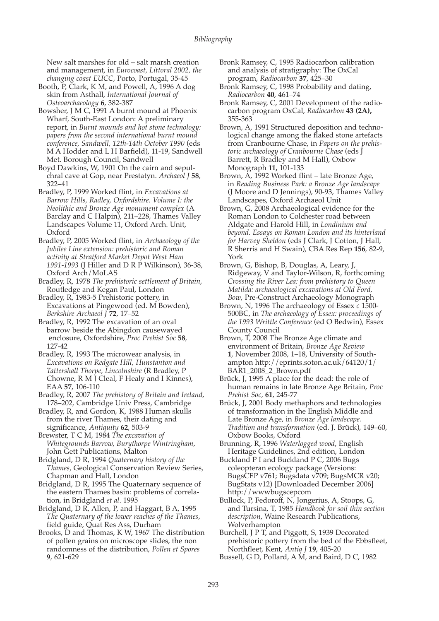New salt marshes for old – salt marsh creation and management, in *Eurocoast, Littoral 2002, the changing coast EUCC*, Porto, Portugal, 35-45

Booth, P, Clark, K M, and Powell, A, 1996 A dog skin from Asthall, *International Journal of Osteoarchaeology* **6**, 382-387

Bowsher, J M C, 1991 A burnt mound at Phoenix Wharf, South-East London: A preliminary report, in *Burnt mounds and hot stone technology: papers from the second international burnt mound conference, Sandwell, 12th-14th October 1990* (eds M A Hodder and L H Barfield), 11-19, Sandwell Met. Borough Council, Sandwell

Boyd Dawkins, W, 1901 On the cairn and sepulchral cave at Gop, near Prestatyn. *Archaeol J* **58**, 322–41

Bradley, P, 1999 Worked flint, in *Excavations at Barrow Hills, Radley, Oxfordshire. Volume I: the Neolithic and Bronze Age monument complex* (A Barclay and C Halpin), 211–228, Thames Valley Landscapes Volume 11, Oxford Arch. Unit, Oxford

Bradley, P, 2005 Worked flint, in *Archaeology of the Jubilee Line extension: prehistoric and Roman activity at Stratford Market Depot West Ham 1991-1993* (J Hiller and D R P Wilkinson), 36-38, Oxford Arch/MoLAS

Bradley, R, 1978 *The prehistoric settlement of Britain*, Routledge and Kegan Paul, London

Bradley, R, 1983-5 Prehistoric pottery, in Excavations at Pingewood (ed. M Bowden), *Berkshire Archaeol J* **72**, 17–52

Bradley, R, 1992 The excavation of an oval barrow beside the Abingdon causewayed enclosure, Oxfordshire, *Proc Prehist Soc* **58**, 127-42

Bradley, R, 1993 The microwear analysis, in *Excavations on Redgate Hill, Hunstanton and Tattershall Thorpe, Lincolnshire* (R Bradley, P Chowne, R M J Cleal, F Healy and I Kinnes), EAA **57**, 106-110

Bradley, R, 2007 *The prehistory of Britain and Ireland*, 178–202, Cambridge Univ Press, Cambridge

Bradley, R, and Gordon, K, 1988 Human skulls from the river Thames, their dating and significance, *Antiquity* **62**, 503-9

Brewster, T C M, 1984 *The excavation of Whitegrounds Barrow, Burythorpe Wintringham*, John Gett Publications, Malton

Bridgland, D R, 1994 *Quaternary history of the Thames*, Geological Conservation Review Series, Chapman and Hall, London

Bridgland, D R, 1995 The Quaternary sequence of the eastern Thames basin: problems of correlation, in Bridgland *et al*. 1995

Bridgland, D R, Allen, P, and Haggart, B A, 1995 *The Quaternary of the lower reaches of the Thames*, field guide, Quat Res Ass, Durham

Brooks, D and Thomas, K W, 1967 The distribution of pollen grains on microscope slides, the non randomness of the distribution, *Pollen et Spores* **9**, 621-629

Bronk Ramsey, C, 1995 Radiocarbon calibration and analysis of stratigraphy: The OxCal program, *Radiocarbon* **37**, 425–30

Bronk Ramsey, C, 1998 Probability and dating, *Radiocarbon* **40**, 461–74

Bronk Ramsey, C, 2001 Development of the radiocarbon program OxCal, *Radiocarbon* **43 (2A),** 355-363

Brown, A, 1991 Structured deposition and technological change among the flaked stone artefacts from Cranbourne Chase, in *Papers on the prehistoric archaeology of Cranbourne Chase* (eds J Barrett, R Bradley and M Hall), Oxbow Monograph **11,** 101-133

Brown, A, 1992 Worked flint – late Bronze Age, in *Reading Business Park: a Bronze Age landscape* (J Moore and D Jennings), 90-93, Thames Valley Landscapes, Oxford Archaeol Unit

Brown, G, 2008 Archaeological evidence for the Roman London to Colchester road between Aldgate and Harold Hill, in *Londinium and beyond. Essays on Roman London and its hinterland for Harvey Sheldon* (eds J Clark, J Cotton, J Hall, R Sherris and H Swain), CBA Res Rep **156**, 82-9, York

Brown, G, Bishop, B, Douglas, A, Leary, J, Ridgeway, V and Taylor-Wilson, R, forthcoming *Crossing the River Lea: from prehistory to Queen Matilda: archaeological excavations at Old Ford, Bow*, Pre-Construct Archaeology Monograph

Brown, N, 1996 The archaeology of Essex *c* 1500- 500BC, in *The archaeology of Essex: proceedings of the 1993 Writtle Conference* (ed O Bedwin), Essex County Council

Brown, T, 2008 The Bronze Age climate and environment of Britain, *Bronze Age Review* **1**, November 2008, 1–18, University of Southampton http://eprints.soton.ac.uk/64120/1/ BAR1\_2008\_2\_Brown.pdf

Brück, J, 1995 A place for the dead: the role of human remains in late Bronze Age Britain, *Proc Prehist Soc,* **61**, 245-77

Brück, J, 2001 Body methaphors and technologies of transformation in the English Middle and Late Bronze Age, in *Bronze Age landscape. Tradition and transformation* (ed. J. Brück), 149–60, Oxbow Books, Oxford

Brunning, R, 1996 *Waterlogged wood*, English Heritage Guidelines, 2nd edition, London

Buckland P I and Buckland P C, 2006 Bugs coleopteran ecology package (Versions: BugsCEP v761; Bugsdata v709; BugsMCR v20; BugStats v12) [Downloaded December 2006] http://wwwbugscepcom

Bullock, P, Fedoroff, N, Jongerius, A, Stoops, G, and Tursina, T, 1985 *Handbook for soil thin section description*, Waine Research Publications, Wolverhampton

Burchell, J P T, and Piggott, S, 1939 Decorated prehistoric pottery from the bed of the Ebbsfleet, Northfleet, Kent, *Antiq J* **19**, 405-20

Bussell, G D, Pollard, A M, and Baird, D C, 1982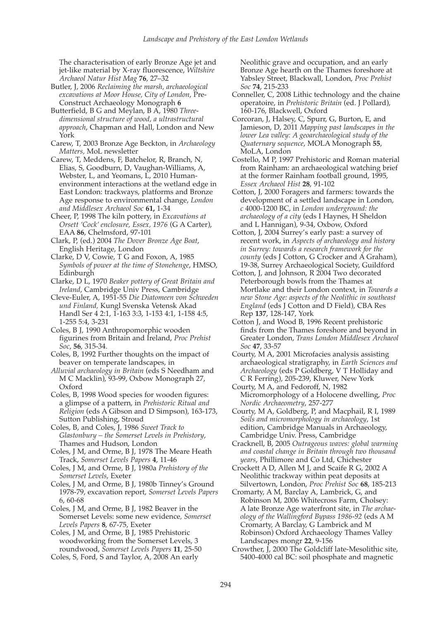The characterisation of early Bronze Age jet and jet-like material by X-ray fluorescence, *Wiltshire Archaeol Natur Hist Mag* **76**, 27–32

Butler, J, 2006 *Reclaiming the marsh, archaeological excavations at Moor House, City of London*, Pre-Construct Archaeology Monograph **6**

Butterfield, B G and Meylan, B A, 1980 *Threedimensional structure of wood, a ultrastructural approach*, Chapman and Hall, London and New York

Carew, T, 2003 Bronze Age Beckton, in *Archaeology Matters,* MoL newsletter

Carew, T, Meddens, F, Batchelor, R, Branch, N, Elias, S, Goodburn, D, Vaughan-Williams, A, Webster, L, and Yeomans, L, 2010 Humanenvironment interactions at the wetland edge in East London: trackways, platforms and Bronze Age response to environmental change, *London and Middlesex Archaeol Soc* **61,** 1-34

Cheer, P, 1998 The kiln pottery, in *Excavations at Orsett 'Cock' enclosure, Essex, 1976* (G A Carter), EAA **86**, Chelmsford, 97-101

Clark, P, (ed.) 2004 *The Dover Bronze Age Boat*, English Heritage, London

Clarke, D V, Cowie, T G and Foxon, A, 1985 *Symbols of power at the time of Stonehenge*, HMSO, Edinburgh

Clarke, D L, 1970 *Beaker pottery of Great Britain and Ireland*, Cambridge Univ Press, Cambridge

Cleve-Euler, A, 1951-55 *Die Diatomeen von Schweden und Finland,* Kungl Svenska Vetensk Akad Handl Ser 4 2:1, 1-163 3:3, 1-153 4:1, 1-158 4:5, 1-255 5:4, 3-231

Coles, B J, 1990 Anthropomorphic wooden figurines from Britain and Ireland, *Proc Prehist Soc*, **56**, 315-34.

Coles, B, 1992 Further thoughts on the impact of beaver on temperate landscapes, in

*Alluvial archaeology in Britain* (eds S Needham and M C Macklin), 93-99, Oxbow Monograph 27, Oxford

Coles, B, 1998 Wood species for wooden figures: a glimpse of a pattern, in *Prehistoric Ritual and Religion* (eds A Gibson and D Simpson), 163-173, Sutton Publishing, Stroud

Coles, B, and Coles, J, 1986 *Sweet Track to Glastonbury – the Somerset Levels in Prehistory*, Thames and Hudson, London

Coles, J M, and Orme, B J, 1978 The Meare Heath Track, *Somerset Levels Papers* **4**, 11-46

Coles, J M, and Orme, B J, 1980a *Prehistory of the Somerset Levels*, Exeter

Coles, J M, and Orme, B J, 1980b Tinney's Ground 1978-79, excavation report, *Somerset Levels Papers* 6, 60-68

Coles, J M, and Orme, B J, 1982 Beaver in the Somerset Levels: some new evidence*, Somerset Levels Papers* **8**, 67-75, Exeter

Coles, J M, and Orme, B J, 1985 Prehistoric woodworking from the Somerset Levels, 3 roundwood, *Somerset Levels Papers* **11**, 25-50 Coles, S, Ford, S and Taylor, A, 2008 An early

Neolithic grave and occupation, and an early Bronze Age hearth on the Thames foreshore at Yabsley Street, Blackwall, London, *Proc Prehist Soc* **74**, 215-233

Conneller, C, 2008 Lithic technology and the chaine operatoire, in *Prehistoric Britain* (ed. J Pollard), 160-176, Blackwell, Oxford

Corcoran, J, Halsey, C, Spurr, G, Burton, E, and Jamieson, D, 2011 *Mapping past landscapes in the lower Lea valley: A geoarchaeological study of the Quaternary sequence*, MOLA Monograph **55**, MoLA, London

Costello, M P, 1997 Prehistoric and Roman material from Rainham: an archaeological watching brief at the former Rainham football ground, 1995, *Essex Archaeol Hist* **28**, 91-102

Cotton, J, 2000 Foragers and farmers: towards the development of a settled landscape in London, *c* 4000-1200 BC, in *London underground: the archaeology of a city* (eds I Haynes, H Sheldon and L Hannigan), 9-34, Oxbow, Oxford

Cotton, J, 2004 Surrey's early past: a survey of recent work, in *Aspects of archaeology and history in Surrey: towards a research framework for the county* (eds J Cotton, G Crocker and A Graham), 19-38, Surrey Archaeological Society, Guildford

Cotton, J, and Johnson, R 2004 Two decorated Peterborough bowls from the Thames at Mortlake and their London context, in *Towards a new Stone Age: aspects of the Neolithic in southeast England* (eds J Cotton and D Field), CBA Res Rep **137**, 128-147, York

Cotton J, and Wood B, 1996 Recent prehistoric finds from the Thames foreshore and beyond in Greater London, *Trans London Middlesex Archaeol Soc* **47**, 33-57

Courty, M A, 2001 Microfacies analysis assisting archaeological stratigraphy, in *Earth Sciences and Archaeology* (eds P Goldberg, V T Holliday and C R Ferring), 205-239, Kluwer, New York

Courty, M A, and Fedoroff, N, 1982 Micromorphology of a Holocene dwelling, *Proc Nordic Archaeometry*, 257-277

Courty, M A, Goldberg, P, and Macphail, R I, 1989 *Soils and micromorphology in archaeology*, 1st edition, Cambridge Manuals in Archaeology, Cambridge Univ. Press, Cambridge

Cracknell, B, 2005 *Outrageous waves: global warming and coastal change in Britain through two thousand years*, Phillimore and Co Ltd, Chichester

Crockett A D, Allen M J, and Scaife R G, 2002 A Neolithic trackway within peat deposits at Silvertown, London, *Proc Prehist Soc* **68**, 185-213

Cromarty, A M, Barclay A, Lambrick, G, and Robinson M, 2006 Whitecross Farm, Cholsey: A late Bronze Age waterfront site, in *The archaeology of the Wallingford Bypass 1986-92* (eds A M Cromarty, A Barclay, G Lambrick and M Robinson) Oxford Archaeology Thames Valley Landscapes mongr **22**, 9-156

Crowther, J, 2000 The Goldcliff late-Mesolithic site, 5400-4000 cal BC: soil phosphate and magnetic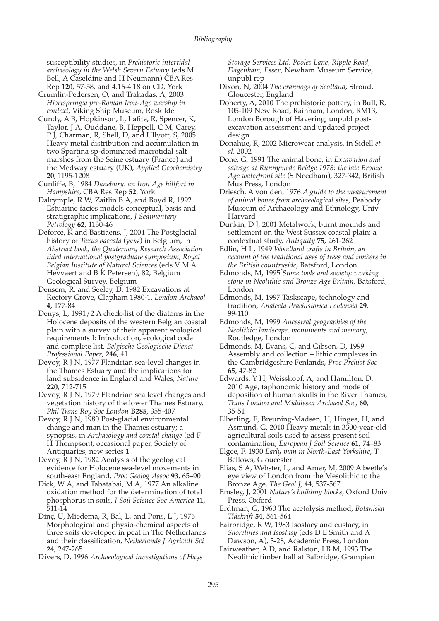susceptibility studies, in *Prehistoric intertidal archaeology in the Welsh Severn Estuary* (eds M Bell, A Caseldine and H Neumann) CBA Res Rep **120**, 57-58, and 4.16-4.18 on CD, York

- Crumlin-Pedersen, O, and Trakadas, A, 2003 *Hjortspring:a pre-Roman Iron-Age warship in context*, Viking Ship Museum, Roskilde
- Cundy, A B, Hopkinson, L, Lafite, R, Spencer, K, Taylor, J A, Ouddane, B, Heppell, C M, Carey, P J, Charman, R, Shell, D, and Ullyott, S, 2005 Heavy metal distribution and accumulation in two Spartina sp-dominated macrotidal salt marshes from the Seine estuary (France) and the Medway estuary (UK), *Applied Geochemistry* **20**, 1195-1208

Cunliffe, B, 1984 *Danebury: an Iron Age hillfort in Hampshire*, CBA Res Rep **52**, York

- Dalrymple, R W, Zaitlin B A, and Boyd R, 1992 Estuarine facies models conceptual, basis and stratigraphic implications, *J Sedimentary Petrology* **62**, 1130-46
- Deforce, K and Bastiaens, J, 2004 The Postglacial history of *Taxus baccata* (yew) in Belgium, in *Abstract book, the Quaternary Research Association third international postgraduate symposium, Royal Belgian Institute of Natural Sciences* (eds V M A Heyvaert and B K Petersen), 82, Belgium Geological Survey, Belgium

Densem, R, and Seeley, D, 1982 Excavations at Rectory Grove, Clapham 1980-1, *London Archaeol* **4**, 177-84

- Denys, L, 1991/2 A check-list of the diatoms in the Holocene deposits of the western Belgian coastal plain with a survey of their apparent ecological requirements I: Introduction, ecological code and complete list, *Belgische Geologische Dienst Professional Paper*, **246**, 41
- Devoy, R J N, 1977 Flandrian sea-level changes in the Thames Estuary and the implications for land subsidence in England and Wales, *Nature* **220**, 712-715

Devoy, R J N, 1979 Flandrian sea level changes and vegetation history of the lower Thames Estuary, *Phil Trans Roy Soc London* **B285**, 355-407

Devoy, R J N, 1980 Post-glacial environmental change and man in the Thames estuary; a synopsis, in *Archaeology and coastal change* (ed F H Thompson), occasional paper, Society of Antiquaries, new series **1**

Devoy, R J N, 1982 Analysis of the geological evidence for Holocene sea-level movements in south-east England, *Proc Geolog Assoc* **93**, 65–90

Dick, W A, and Tabatabai, M A, 1977 An alkaline oxidation method for the determination of total phosphorus in soils, *J Soil Science Soc America* **41**, 511-14

Dinç, U, Miedema, R, Bal, L, and Pons, L J, 1976 Morphological and physio-chemical aspects of three soils developed in peat in The Netherlands and their classification, *Netherlands J Agricult Sci* **24**, 247-265

Divers, D, 1996 *Archaeological investigations of Hays*

*Storage Services Ltd, Pooles Lane, Ripple Road, Dagenham, Essex*, Newham Museum Service, unpubl rep

- Dixon, N, 2004 *The crannogs of Scotland*, Stroud, Gloucester, England
- Doherty, A, 2010 The prehistoric pottery, in Bull, R, 105-109 New Road, Rainham, London, RM13, London Borough of Havering, unpubl postexcavation assessment and updated project design
- Donahue, R, 2002 Microwear analysis, in Sidell *et al.* 2002
- Done, G, 1991 The animal bone, in *Excavation and salvage at Runnymede Bridge 1978: the late Bronze Age waterfront site* (S Needham), 327-342, British Mus Press, London

Driesch, A von den, 1976 *A guide to the measurement of animal bones from archaeological sites*, Peabody Museum of Archaeology and Ethnology, Univ Harvard

Dunkin, D J, 2001 Metalwork, burnt mounds and settlement on the West Sussex coastal plain: a contextual study, *Antiquity* **75**, 261-262

Edlin, H L, 1949 *Woodland crafts in Britain, an account of the traditional uses of trees and timbers in the British countryside*, Batsford, London

Edmonds, M, 1995 *Stone tools and society: working stone in Neolithic and Bronze Age Britain*, Batsford, London

Edmonds, M, 1997 Taskscape, technology and tradition, *Analecta Praehistorica Leidensia* **29**, 99-110

- Edmonds, M, 1999 *Ancestral geographies of the Neolithic: landscape, monuments and memory*, Routledge, London
- Edmonds, M, Evans, C, and Gibson, D, 1999 Assembly and collection – lithic complexes in the Cambridgeshire Fenlands, *Proc Prehist Soc* **65**, 47-82
- Edwards, Y H, Weisskopf, A, and Hamilton, D, 2010 Age, taphonomic history and mode of deposition of human skulls in the River Thames, *Trans London and Middlesex Archaeol Soc*, **60**, 35-51
- Elberling, E, Breuning-Madsen, H, Hingea, H, and Asmund, G, 2010 Heavy metals in 3300-year-old agricultural soils used to assess present soil contamination, *European J Soil Science* **61**, 74–83
- Elgee, F, 1930 *Early man in North-East Yorkshire*, T Bellows, Gloucester
- Elias, S A, Webster, L, and Amer, M, 2009 A beetle's eye view of London from the Mesolithic to the Bronze Age, *The Geol J*, **44**, 537-567.
- Emsley, J, 2001 *Nature's building blocks*, Oxford Univ Press, Oxford
- Erdtman, G, 1960 The acetolysis method, *Botaniska Tidskrift* **54**, 561-564
- Fairbridge*,* R W, 1983 Isostacy and eustacy, in *Shorelines and Isostasy* (eds D E Smith and A Dawson, A), 3-28, Academic Press, London
- Fairweather, A D, and Ralston, I B M, 1993 The Neolithic timber hall at Balbridge, Grampian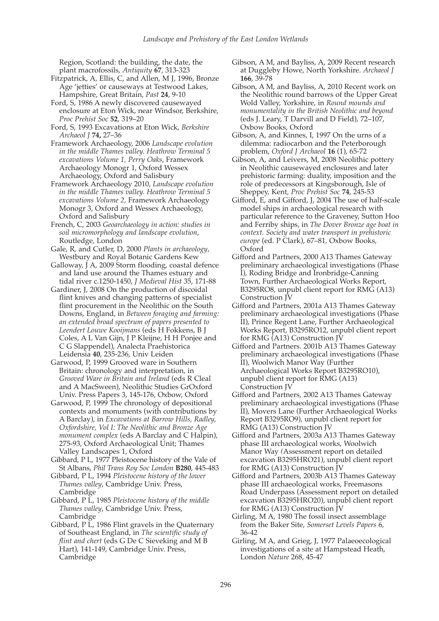Region, Scotland: the building, the date, the plant macrofossils, *Antiquity* **67**, 313-323

- Fitzpatrick, A, Ellis, C, and Allen, M J, 1996, Bronze Age 'jetties' or causeways at Testwood Lakes, Hampshire, Great Britain, *Past* **24**, 9-10
- Ford, S, 1986 A newly discovered causewayed enclosure at Eton Wick, near Windsor, Berkshire, *Proc Prehist Soc* **52**, 319–20
- Ford, S, 1993 Excavations at Eton Wick, *Berkshire Archaeol J* **74,** 27–36
- Framework Archaeology, 2006 *Landscape evolution in the middle Thames valley. Heathrow Terminal 5 excavations Volume 1, Perry Oaks*, Framework Archaeology Monogr 1, Oxford Wessex Archaeology, Oxford and Salisbury
- Framework Archaeology 2010, *Landscape evolution in the middle Thames valley. Heathrow Terminal 5 excavations Volume 2,* Framework Archaeology Monogr 3, Oxford and Wessex Archaeology, Oxford and Salisbury
- French, C, 2003 *Geoarchaeology in action: studies in soil micromorphology and landscape evolution*, Routledge, London
- Gale, R, and Cutler, D, 2000 *Plants in archaeology*, Westbury and Royal Botanic Gardens Kew
- Galloway, J A, 2009 Storm flooding, coastal defence and land use around the Thames estuary and tidal river c.1250-1450, *J Medieval Hist* 35, 171-88
- Gardiner, J, 2008 On the production of discoidal flint knives and changing patterns of specialist flint procurement in the Neolithic on the South Downs, England, in *Between foraging and farming: an extended broad spectrum of papers presented to Leendert Louwe Kooijmans* (eds H Fokkens, B J Coles, A L Van Gijn, J P Kleijne, H H Ponjee and C G Slappendel), Analecta Praehistorica Leidensia **40**, 235-236, Univ Leiden
- Garwood, P, 1999 Grooved ware in Southern Britain: chronology and interpretation, in *Grooved Ware in Britain and Ireland* (eds R Cleal and A MacSween), Neolithic Studies GrOxford Univ. Press Papers 3, 145-176, Oxbow, Oxford
- Garwood, P, 1999 The chronology of depositional contexts and monuments (with contributions by A Barclay), in *Excavations at Barrow Hills, Radley, Oxfordshire, Vol I: The Neolithic and Bronze Age monument complex* (eds A Barclay and C Halpin), 275-93, Oxford Archaeological Unit; Thames Valley Landscapes 1, Oxford
- Gibbard, P L, 1977 Pleistocene history of the Vale of St Albans, *Phil Trans Roy Soc London* **B280**, 445-483
- Gibbard, P L, 1994 *Pleistocene history of the lower Thames valley*, Cambridge Univ. Press, Cambridge
- Gibbard, P L, 1985 *Pleistocene history of the middle Thames valley*, Cambridge Univ. Press, Cambridge
- Gibbard, P  $\check{L}$ , 1986 Flint gravels in the Quaternary of Southeast England, in *The scientific study of flint and chert* (eds G De C Sieveking and M B Hart), 141-149, Cambridge Univ. Press, Cambridge
- Gibson, A M, and Bayliss, A, 2009 Recent research at Duggleby Howe, North Yorkshire. *Archaeol J* **166**, 39-78
- Gibson, A M, and Bayliss, A, 2010 Recent work on the Neolithic round barrows of the Upper Great Wold Valley, Yorkshire, in *Round mounds and monumentality in the British Neolithic and beyond* (eds J. Leary, T Darvill and D Field), 72–107, Oxbow Books, Oxford
- Gibson, A, and Kinnes, I, 1997 On the urns of a dilemma: radiocarbon and the Peterborough problem, *Oxford J Archaeol* **16** (1), 65-72
- Gibson, A, and Leivers, M, 2008 Neolithic pottery in Neolithic causewayed enclosures and later prehistoric farming: duality, imposition and the role of predecessors at Kingsborough, Isle of Sheppey, Kent, *Proc Prehist Soc* **74**, 245-53
- Gifford, E, and Gifford, J, 2004 The use of half-scale model ships in archaeological research with particular reference to the Graveney, Sutton Hoo and Ferriby ships, in *The Dover Bronze age boat in context. Society and water transport in prehistoric europe* (ed. P Clark), 67–81*,* Oxbow Books, Oxford
- Gifford and Partners, 2000 A13 Thames Gateway preliminary archaeological investigations (Phase I), Roding Bridge and Ironbridge-Canning Town, Further Archaeological Works Report, B3295RO8, unpubl client report for RMG (A13) Construction JV
- Gifford and Partners, 2001a A13 Thames Gateway preliminary archaeological investigations (Phase II), Prince Regent Lane, Further Archaeological Works Report, B3295RO12, unpubl client report for RMG (A13) Construction JV
- Gifford and Partners. 2001b A13 Thames Gateway preliminary archaeological investigations (Phase II), Woolwich Manor Way (Further Archaeological Works Report B3295RO10), unpubl client report for RMG (A13) Construction JV
- Gifford and Partners, 2002 A13 Thames Gateway preliminary archaeological investigations (Phase II), Movers Lane (Further Archaeological Works Report B3295RO9), unpubl client report for RMG (A13) Construction JV
- Gifford and Partners, 2003a A13 Thames Gateway phase III archaeological works, Woolwich Manor Way *(*Assessment report on detailed excavation B3295HRO21), unpubl client report for RMG (A13) Construction JV
- Gifford and Partners, 2003b A13 Thames Gateway phase III archaeological works, Freemasons Road Underpass (Assessment report on detailed excavation B3295HRO20), unpubl client report for RMG (A13) Construction JV
- Girling, M A, 1980 The fossil insect assemblage from the Baker Site, *Somerset Levels Papers* 6, 36-42
- Girling, M A, and Grieg, J, 1977 Palaeoecological investigations of a site at Hampstead Heath, London *Nature* 268, 45-47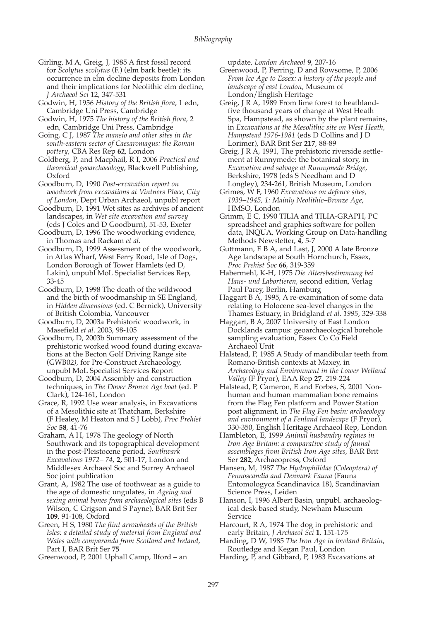- Girling, M A, Greig, J, 1985 A first fossil record for *Scolytus scolytus* (F.) (elm bark beetle): its occurrence in elm decline deposits from London and their implications for Neolithic elm decline, *J Archaeol Sci* 12, 347-531
- Godwin, H, 1956 *History of the British flora*, 1 edn, Cambridge Uni Press, Cambridge
- Godwin, H, 1975 *The history of the British flora*, 2 edn, Cambridge Uni Press, Cambridge
- Going, C J, 1987 *The mansio and other sites in the south-eastern sector of Caesaromagus: the Roman pottery*, CBA Res Rep **62**, London
- Goldberg, P, and Macphail, R I, 2006 *Practical and theoretical geoarchaeology*, Blackwell Publishing, Oxford
- Goodburn, D, 1990 *Post-excavation report on woodwork from excavations at Vintners Place, City of London*, Dept Urban Archaeol, unpubl report
- Goodburn, D, 1991 Wet sites as archives of ancient landscapes, in *Wet site excavation and survey* (eds J Coles and D Goodburn), 51-53, Exeter
- Goodburn, D, 1996 The woodworking evidence, in Thomas and Rackam *et al.*
- Goodburn, D, 1999 Assessment of the woodwork, in Atlas Wharf, West Ferry Road, Isle of Dogs, London Borough of Tower Hamlets (ed D, Lakin), unpubl MoL Specialist Services Rep, 33-45
- Goodburn, D, 1998 The death of the wildwood and the birth of woodmanship in SE England, in *Hidden dimensions* (ed. C Bernick), University of British Colombia, Vancouver
- Goodburn, D, 2003a Prehistoric woodwork, in Masefield *et al*. 2003, 98-105
- Goodburn, D, 2003b Summary assessment of the prehistoric worked wood found during excavations at the Becton Golf Driving Range site (GWB02*)*, for Pre-Construct Archaeology, unpubl MoL Specialist Services Report
- Goodburn, D, 2004 Assembly and construction techniques, in *The Dover Bronze Age boat* (ed. P Clark), 124-161, London
- Grace, R, 1992 Use wear analysis, in Excavations of a Mesolithic site at Thatcham, Berkshire (F Healey, M Heaton and S J Lobb), *Proc Prehist Soc* **58**, 41-76
- Graham, A H, 1978 The geology of North Southwark and its topographical development in the post-Pleistocene period, *Southwark Excavations 1972– 74*, **2,** 501-17, London and Middlesex Archaeol Soc and Surrey Archaeol Soc joint publication
- Grant, A, 1982 The use of toothwear as a guide to the age of domestic ungulates, in *Ageing and sexing animal bones from archaeological sites* (eds B Wilson, C Grigson and S Payne), BAR Brit Ser **109**, 91-108, Oxford
- Green, H S, 1980 *The flint arrowheads of the British Isles: a detailed study of material from England and Wales with comparanda from Scotland and Ireland*, Part I, BAR Brit Ser **75**
- Greenwood, P, 2001 Uphall Camp, Ilford an

update, *London Archaeol* **9**, 207-16

- Greenwood, P, Perring, D and Rowsome, P, 2006 *From Ice Age to Essex: a history of the people and landscape of east London*, Museum of London/English Heritage
- Greig, J R A, 1989 From lime forest to heathlandfive thousand years of change at West Heath Spa, Hampstead, as shown by the plant remains, in *Excavations at the Mesolithic site on West Heath, Hampstead 1976-1981* (eds D Collins and J D Lorimer), BAR Brit Ser **217**, 88-89
- Greig, J R A, 1991, The prehistoric riverside settlement at Runnymede: the botanical story, in *Excavation and salvage at Runnymede Bridge*, Berkshire, 1978 (eds S Needham and D Longley), 234-261, British Museum, London
- Grimes, W F, 1960 *Excavations on defence sites, 1939–1945, 1: Mainly Neolithic–Bronze Age*, HMSO, London
- Grimm, E C, 1990 TILIA and TILIA-GRAPH, PC spreadsheet and graphics software for pollen data, INQUA, Working Group on Data-handling Methods Newsletter, **4**, 5-7
- Guttmann, E B A, and Last, J, 2000 A late Bronze Age landscape at South Hornchurch, Essex, *Proc Prehist Soc* **66**, 319-359
- Habermehl, K-H, 1975 *Die Altersbestimmung bei Haus- und Labortieren*, second edition, Verlag Paul Parey, Berlin, Hamburg
- Haggart B A, 1995, A re-examination of some data relating to Holocene sea-level changes in the Thames Estuary, in Bridgland *et al. 1995,* 329-338
- Haggart, B A, 2007 University of East London Docklands campus: geoarchaeological borehole sampling evaluation, Essex Co Co Field Archaeol Unit
- Halstead, P, 1985 A Study of mandibular teeth from Romano-British contexts at Maxey, in *Archaeology and Environment in the Lower Welland Valley* (F Pryor), EAA Rep **27**, 219-224
- Halstead, P, Cameron, E and Forbes, S, 2001 Nonhuman and human mammalian bone remains from the Flag Fen platform and Power Station post alignment, in *The Flag Fen basin: archaeology and environment of a Fenland landscape* (F Pryor), 330-350, English Heritage Archaeol Rep, London
- Hambleton, E, 1999 *Animal husbandry regimes in Iron Age Britain: a comparative study of faunal assemblages from British Iron Age sites*, BAR Brit Ser **282**, Archaeopress, Oxford
- Hansen, M, 1987 *The Hydrophilidae (Coleoptera) of Fennoscandia and Denmark Fauna* (Fauna Entomologyca Scandinavica 18), Scandinavian Science Press, Leiden
- Hanson, I, 1996 Albert Basin, unpubl. archaeological desk-based study, Newham Museum Service
- Harcourt, R A, 1974 The dog in prehistoric and early Britain, *J Archaeol Sci* **1**, 151-175
- Harding, D W, 1985 *The Iron Age in lowland Britain*, Routledge and Kegan Paul, London
- Harding, P, and Gibbard, P, 1983 Excavations at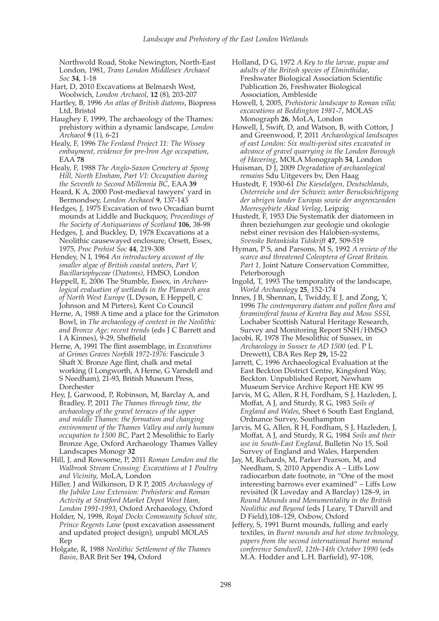Northwold Road, Stoke Newington, North-East London, 1981, *Trans London Middlesex Archaeol Soc* **34**, 1-18

Hart, D, 2010 Excavations at Belmarsh West, Woolwich, *London Archaeol*, **12** (8), 203-207

Hartley, B, 1996 *An atlas of British diatoms*, Biopress Ltd, Bristol

Haughey F, 1999, The archaeology of the Thames: prehistory within a dynamic landscape, *London Archaeol* **9** (1), 6-21

Healy, F, 1996 *The Fenland Project 11: The Wissey embayment, evidence for pre-Iron Age occupation*, EAA **78**

Healy, F, 1988 *The Anglo-Saxon Cemetery at Spong Hill, North Elmham*, *Part VI: Occupation during the Seventh to Second Millennia BC*, EAA **39**

Heard, K A, 2000 Post-medieval tawyers' yard in Bermondsey, *London Archaeol* **9**, 137-143

Hedges, J, 1975 Excavation of two Orcadian burnt mounds at Liddle and Buckquoy, *Proceedings of the Society of Antiquarians of Scotland* **106**, 38-98

Hedges, J, and Buckley, D, 1978 Excavations at a Neolithic causewayed enclosure, Orsett, Essex, 1975, *Proc Prehist Soc* **44***,* 219-308

Hendey, N I, 1964 *An introductory account of the smaller algae of British coastal waters*, *Part V, Bacillariophyceae (Diatoms)*, HMSO, London

Heppell, E, 2006 The Stumble, Essex, in *Archaeological evaluation of wetlands in the Planarch area of North West Europe* (L Dyson, E Heppell, C Johnson and M Pirters), Kent Co Council

Herne, A, 1988 A time and a place for the Grimston Bowl, in *The archaeology of context in the Neolithic and Bronze Age: recent trends* (eds J C Barrett and I A Kinnes), 9-29, Sheffield

Herne, A, 1991 The flint assemblage, in *Excavations at Grimes Graves Norfolk 1972-1976:* Fascicule 3 Shaft X: Bronze Age flint, chalk and metal working (I Longworth, A Herne, G Varndell and S Needham), 21-93, British Museum Press, Dorchester

Hey, J, Garwood, P, Robinson, M, Barclay A, and Bradley, P, 2011 *The Thames through time, the archaeology of the gravel terraces of the upper and middle Thames: the formation and changing environment of the Thames Valley and early human occupation to 1500 BC*, Part 2 Mesolithic to Early Bronze Age, Oxford Archaeology Thames Valley Landscapes Monogr **32**

Hill, J, and Rowsome, P, 2011 *Roman London and the Walbrook Stream Crossing: Excavations at 1 Poultry and Vicinity*, MoLA, London

Hiller, J and Wilkinson, D R P, 2005 *Archaeology of the Jubilee Line Extension: Prehistoric and Roman Activity at Stratford Market Depot West Ham, London 1991-1993*, Oxford Archaeology, Oxford

Holder, N, 1998, *Royal Docks Community School site, Prince Regents Lane* (post excavation assessment and updated project design), unpubl MOLAS Rep

Holgate, R, 1988 *Neolithic Settlement of the Thames Basin*, BAR Brit Ser **194,** Oxford

Holland, D G, 1972 *A Key to the larvae, pupae and adults of the British species of Elminthidae*, Freshwater Biological Association Scientific Publication 26, Freshwater Biological Association, Ambleside

Howell, I, 2005, *Prehistoric landscape to Roman villa; excavations at Beddington 1981-7*, MOLAS Monograph **26**, MoLA, London

Howell, I, Swift, D, and Watson, B, with Cotton, J and Greenwood, P, 2011 *Archaeological landscapes of east London: Six multi-period sites excavated in advance of gravel quarrying in the London Borough of Havering*, MOLA Monograph **54**, London

Huisman, D J, 2009 *Degradation of archaeological remains* Sdu Uitgevers bv, Den Haag

Hustedt, F, 1930-61 *Die Kieselalgen, Deutschlands, Osterreiche und der Schweiz unter Berucksichtigung der ubrigen lander Europas sowie der angrenzenden Meeresgebiete Akad Verlag*, Leipzig

- Hustedt, F, 1953 Die Systematik der diatomeen in ihren beziehungen zur geologie und okologie nebst einer revision des Halobien-systems, *Svenske Botankiska Tidskrift* **47**, 509-519
- Hyman, P S, and Parsons, M S, 1992 *A review of the scarce and threatened Coleoptera of Great Britain. Part 1,* Joint Nature Conservation Committee, Peterborough
- Ingold, T, 1993 The temporality of the landscape, *World Archaeology* **25**, 152-174

Innes, J B, Shennan, I, Twiddy, E J, and Zong, Y, 1996 *The contemporary diatom and pollen flora and foraminiferal fauna of Kentra Bay and Moss SSSI*, Lochaber Scottish Natural Heritage Research, Survey and Monitoring Report SNH/HMSO

Jacobi, R, 1978 The Mesolithic of Sussex, in *Archaeology in Sussex to AD 1500* (ed. P L Drewett), CBA Res Rep **29,** 15-22

Jarrett, C, 1996 Archaeological Evaluation at the East Beckton District Centre, Kingsford Way, Beckton. Unpublished Report, Newham Museum Service Archive Report HE KW 95

Jarvis, M G, Allen, R H, Fordham, S J, Hazleden, J, Moffat, A J, and Sturdy, R G, 1983 *Soils of England and Wales*, Sheet 6 South East England, Ordnance Survey, Southampton

Jarvis, M G, Allen, R H, Fordham, S J, Hazleden, J, Moffat, A J, and Sturdy, R G, 1984 *Soils and their use in South-East England*, Bulletin No 15, Soil Survey of England and Wales, Harpenden

Jay, M, Richards, M, Parker Pearson, M, and Needham, S, 2010 Appendix A – Liffs Low radiocarbon date footnote, in "One of the most interesting barrows ever examined" – Liffs Low revisited (R Loveday and A Barclay) 128–9, in *Round Mounds and Monumentality in the British Neolithic and Beyond* (eds J Leary, T Darvill and D Field),108–129, Oxbow, Oxford

Jeffery, S, 1991 Burnt mounds, fulling and early textiles, in *Burnt mounds and hot stone technology, papers from the second international burnt mound conference Sandwell, 12th-14th October 1990* (eds M.A. Hodder and L.H. Barfield), 97-108,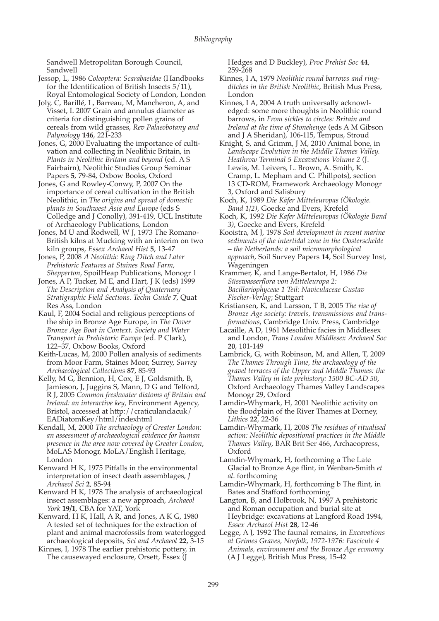Sandwell Metropolitan Borough Council, Sandwell

Jessop, L, 1986 *Coleoptera: Scarabaeidae* (Handbooks for the Identification of British Insects 5/11), Royal Entomological Society of London, London

Joly, C, Barillé, L, Barreau, M, Mancheron, A, and Visset, L 2007 Grain and annulus diameter as criteria for distinguishing pollen grains of cereals from wild grasses, *Rev Palaeobotany and Palynology* **146**, 221-233

Jones, G, 2000 Evaluating the importance of cultivation and collecting in Neolithic Britain, in *Plants in Neolithic Britain and beyond* (ed. A S Fairbairn), Neolithic Studies Group Seminar Papers **5**, 79-84, Oxbow Books, Oxford

Jones, G and Rowley-Conwy, P, 2007 On the importance of cereal cultivation in the British Neolithic, in *The origins and spread of domestic plants in Southwest Asia and Europe* (eds S Colledge and J Conolly), 391-419, UCL Institute of Archaeology Publications, London

Jones, M U and Rodwell, W J, 1973 The Romano-British kilns at Mucking with an interim on two kiln groups, *Essex Archaeol Hist* **5**, 13-47

Jones, P, 2008 *A Neolithic Ring Ditch and Later Prehistoric Features at Staines Road Farm, Shepperton*, SpoilHeap Publications, Monogr 1

Jones, A P, Tucker, M E, and Hart, J K (eds) 1999 *The Description and Analysis of Quaternary Stratigraphic Field Sections. Techn Guide 7*, Quat Res Ass, London

Kaul, F, 2004 Social and religious perceptions of the ship in Bronze Age Europe, in *The Dover Bronze Age Boat in Context. Society and Water Transport in Prehistoric Europe* (ed. P Clark), 122–37, Oxbow Books, Oxford

Keith-Lucas, M, 2000 Pollen analysis of sediments from Moor Farm, Staines Moor, Surrey, *Surrey Archaeological Collections* **87**, 85-93

Kelly, M G, Bennion, H, Cox, E J, Goldsmith, B, Jamieson, J, Juggins S, Mann, D G and Telford, R J, 2005 *Common freshwater diatoms of Britain and Ireland: an interactive key*, Environment Agency, Bristol, accessed at http://craticulanclacuk/ EADiatomKey/html/indexhtml

Kendall, M, 2000 *The archaeology of Greater London: an assessment of archaeological evidence for human presence in the area now covered by Greater London*, MoLAS Monogr, MoLA/English Heritage, London

Kenward H K, 1975 Pitfalls in the environmental interpretation of insect death assemblages, *J Archaeol Sci* **2***,* 85-94

Kenward H K, 1978 The analysis of archaeological insect assemblages: a new approach, *Archaeol York* **19/1**, CBA for YAT, York

Kenward, H K, Hall, A R, and Jones, A K G, 1980 A tested set of techniques for the extraction of plant and animal macrofossils from waterlogged archaeological deposits, *Sci and Archaeol* **22**, 3-15

Kinnes, I, 1978 The earlier prehistoric pottery, in The causewayed enclosure, Orsett, Essex (J

Hedges and D Buckley), *Proc Prehist Soc* **44**, 259-268

- Kinnes, I A, 1979 *Neolithic round barrows and ringditches in the British Neolithic*, British Mus Press, London
- Kinnes, I A, 2004 A truth universally acknowledged: some more thoughts in Neolithic round barrows, in *From sickles to circles: Britain and Ireland at the time of Stonehenge* (eds A M Gibson and J A Sheridan), 106-115, Tempus, Stroud

Knight, S, and Grimm, J M, 2010 Animal bone, in *Landscape Evolution in the Middle Thames Valley. Heathrow Terminal 5 Excavations Volume 2* (J. Lewis, M. Leivers, L. Brown, A. Smith, K. Cramp, L. Mepham and C. Phillpots), section 13 CD-ROM, Framework Archaeology Monogr 3, Oxford and Salisbury

Koch, K, 1989 *Die Käfer Mitteleuropas (Ökologie. Band 1/2)*, Goecke and Evers, Krefeld

Koch, K, 1992 *Die Kafer Mitteleuropas (Ökologie Band 3)*, Goecke and Evers, Krefeld

- Kooistra, M J, 1978 *Soil development in recent marine sediments of the intertidal zone in the Oosterschelde – the Netherlands: a soil micromorphological approach*, Soil Survey Papers **14**, Soil Survey Inst, Wageningen
- Krammer, K, and Lange-Bertalot, H, 1986 *Die Süsswasserflora von Mitteleuropa 2: Bacillariophyceae 1 Teil: Naviculaceae Gustav Fischer-Verlag*; Stuttgart
- Kristiansen, K, and Larsson, T B, 2005 *The rise of Bronze Age society: travels, transmissions and transformations*, Cambridge Univ. Press, Cambridge

Lacaille, A D, 1961 Mesolithic facies in Middlesex and London, *Trans London Middlesex Archaeol Soc* **20**, 101-149

Lambrick, G, with Robinson, M, and Allen, T, 2009 *The Thames Through Time, the archaeology of the gravel terraces of the Upper and Middle Thames: the Thames Valley in late prehistory: 1500 BC-AD 50*, Oxford Archaeology Thames Valley Landscapes Monogr 29, Oxford

Lamdin-Whymark, H, 2001 Neolithic activity on the floodplain of the River Thames at Dorney, *Lithics* **22**, 22-36

Lamdin-Whymark, H, 2008 *The residues of ritualised action: Neolithic depositional practices in the Middle Thames Valley*, BAR Brit Ser 466, Archaeopress, Oxford

Lamdin-Whymark, H, forthcoming a The Late Glacial to Bronze Age flint, in Wenban-Smith *et al*. forthcoming

Lamdin-Whymark, H, forthcoming b The flint, in Bates and Stafford forthcoming

Langton, B, and Holbrook, N, 1997 A prehistoric and Roman occupation and burial site at Heybridge: excavations at Langford Road 1994, *Essex Archaeol Hist* **28**, 12-46

Legge, A J, 1992 The faunal remains, in *Excavations at Grimes Graves, Norfolk, 1972-1976: Fascicule 4 Animals, environment and the Bronze Age economy* (A J Legge), British Mus Press, 15-42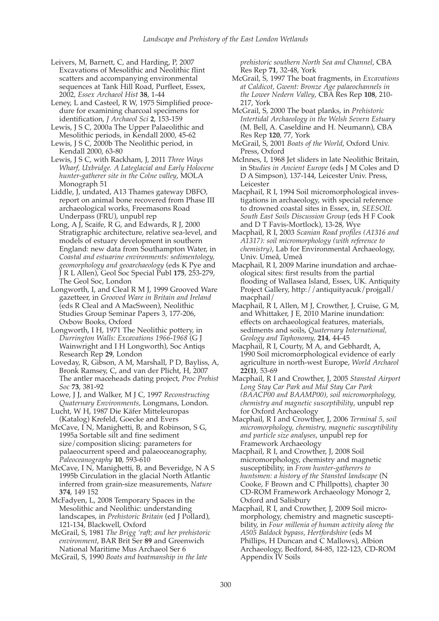Leivers, M, Barnett, C, and Harding, P, 2007 Excavations of Mesolithic and Neolithic flint scatters and accompanying environmental sequences at Tank Hill Road, Purfleet, Essex, 2002, *Essex Archaeol Hist* **38**, 1-44

Leney, L and Casteel, R W, 1975 Simplified procedure for examining charcoal specimens for identification, *J Archaeol Sci* **2**, 153-159

Lewis, J S C, 2000a The Upper Palaeolithic and Mesolithic periods, in Kendall 2000, 45-62

Lewis, J S C, 2000b The Neolithic period, in Kendall 2000, 63-80

Lewis, J S C, with Rackham, J, 2011 *Three Ways Wharf, Uxbridge. A Lateglacial and Early Holocene hunter-gatherer site in the Colne valley*, MOLA Monograph 51

Liddle, J, undated, A13 Thames gateway DBFO, report on animal bone recovered from Phase III archaeological works, Freemasons Road Underpass (FRU), unpubl rep

Long, A J, Scaife, R G, and Edwards, R J, 2000 Stratigraphic architecture, relative sea-level, and models of estuary development in southern England: new data from Southampton Water, in *Coastal and estuarine environments: sedimentology, geomorphology and geoarchaeology* (eds K Pye and J R L Allen), Geol Soc Special Publ **175**, 253-279, The Geol Soc, London

Longworth, I, and Cleal R M J, 1999 Grooved Ware gazetteer, in *Grooved Ware in Britain and Ireland* (eds R Cleal and A MacSween), Neolithic Studies Group Seminar Papers 3, 177-206, Oxbow Books, Oxford

Longworth, I H, 1971 The Neolithic pottery, in *Durrington Walls: Excavations 1966-1968* (G J Wainwright and I H Longworth), Soc Antiqs Research Rep **29**, London

Loveday, R, Gibson, A M, Marshall, P D, Bayliss, A, Bronk Ramsey, C, and van der Plicht, H, 2007 The antler maceheads dating project, *Proc Prehist Soc* **73**, 381-92

Lowe, J J, and Walker, M J C, 1997 *Reconstructing Quaternary Environments,* Longmans, London.

Lucht, W H, 1987 Die Käfer Mitteleuropas (Katalog) Krefeld, Goecke and Evers

McCave, I<sub>N</sub>, Manighetti, B, and Robinson, S<sub>G</sub>, 1995a Sortable silt and fine sediment size/composition slicing: parameters for palaeocurrent speed and palaeoceanography, *Paleoceanography* **10**, 593-610

McCave, I N, Manighetti, B, and Beveridge, N A S 1995b Circulation in the glacial North Atlantic inferred from grain-size measurements, *Nature* **374**, 149 152

McFadyen, L, 2008 Temporary Spaces in the Mesolithic and Neolithic: understanding landscapes, in *Prehistoric Britain* (ed J Pollard), 121-134, Blackwell, Oxford

McGrail, S, 1981 *The Brigg 'raft; and her prehistoric environment*, BAR Brit Ser **89** and Greenwich National Maritime Mus Archaeol Ser 6

McGrail, S, 1990 *Boats and boatmanship in the late*

*prehistoric southern North Sea and Channel*, CBA Res Rep **71**, 32-48, York

McGrail, S, 1997 The boat fragments, in *Excavations at Caldicot, Gwent: Bronze Age palaeochannels in the Lower Nedern Valley*, CBA Res Rep **108**, 210- 217, York

McGrail, S, 2000 The boat planks, in *Prehistoric Intertidal Archaeology in the Welsh Severn Estuary* (M. Bell, A. Caseldine and H. Neumann), CBA Res Rep **120**, 77, York

McGrail, S, 2001 *Boats of the World*, Oxford Univ. Press, Oxford

McInnes, I, 1968 Jet sliders in late Neolithic Britain, in St*udies in Ancient Europe* (eds J M Coles and D D A Simpson), 137-144, Leicester Univ. Press, Leicester

Macphail, R I, 1994 Soil micromorphological investigations in archaeology, with special reference to drowned coastal sites in Essex, in, *SEESOIL South East Soils Discussion Group* (eds H F Cook and D T Favis-Mortlock), 13-28, Wye

Macphail, R I, 2003 *Scanian Road profiles (A1316 and A1317): soil micromorphology (with reference to chemistry)*, Lab for Environmental Archaeology, Univ. Umeå, Umeå

Macphail, R I, 2009 Marine inundation and archaeological sites: first results from the partial flooding of Wallasea Island, Essex, UK. Antiquity Project Gallery, http://antiquityacuk/projgall/ macphail/

Macphail, R I, Allen, M J, Crowther, J, Cruise, G M, and Whittaker, J E, 2010 Marine inundation: effects on archaeological features, materials, sediments and soils, *Quaternary International, Geology and Taphonomy,* **214**, 44-45

Macphail, R I, Courty, M A, and Gebhardt, A, 1990 Soil micromorphological evidence of early agriculture in north-west Europe, *World Archaeol* **22(1)**, 53-69

Macphail, R I and Crowther, J, 2005 *Stansted Airport Long Stay Car Park and Mid Stay Car Park (BAACP00 and BAAMP00), soil micromorphology, chemistry and magnetic susceptibility*, unpubl rep for Oxford Archaeology

Macphail, R I and Crowther, J, 2006 *Terminal 5, soil micromorphology, chemistry, magnetic susceptibility and particle size analyses*, unpubl rep for Framework Archaeology

Macphail, R I, and Crowther, J, 2008 Soil micromorphology, chemistry and magnetic susceptibility, in *From hunter-gatherers to huntsmen: a history of the Stansted landscape* (N Cooke, F Brown and C Phillpotts), chapter 30 CD-ROM Framework Archaeology Monogr 2, Oxford and Salisbury

Macphail, R I, and Crowther, J, 2009 Soil micromorphology, chemistry and magnetic susceptibility, in *Four millenia of human activity along the A505 Baldock bypass, Hertfordshire* (eds M Phillips, H Duncan and C Mallows), Albion Archaeology, Bedford, 84-85, 122-123, CD-ROM Appendix IV Soils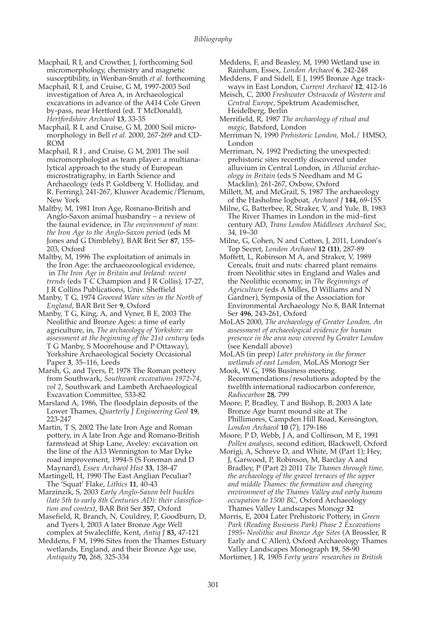Macphail, R I, and Crowther, J, forthcoming Soil micromorphology, chemistry and magnetic susceptibility, in Wenban-Smith *et al*. forthcoming

Macphail, R I, and Cruise, G M, 1997-2003 Soil investigation of Area A, in Archaeological excavations in advance of the A414 Cole Green by-pass, near Hertford (ed. T McDonald), *Hertfordshire Archaeol* **13**, 33-35

Macphail, R I, and Cruise, G M, 2000 Soil micromorphology in Bell *et al*. 2000, 267-269 and CD-ROM

Macphail, R I , and Cruise, G M, 2001 The soil micromorphologist as team player: a multianalytical approach to the study of European microstratigraphy, in Earth Science and Archaeology (eds P. Goldberg V. Holliday, and R. Ferring), 241-267, Kluwer Academic/Plenum, New York

Maltby, M, 1981 Iron Age, Romano-British and Anglo-Saxon animal husbandry – a review of the faunal evidence, in *The environment of man: the Iron Age to the Anglo-Saxon perio*d (eds M Jones and G Dimbleby), BAR Brit Ser **87**, 155- 203, Oxford

Maltby, M, 1996 The exploitation of animals in the Iron Age: the archaeozoological evidence, in *The Iron Age in Britain and Ireland: recent trends* (eds T C Champion and J R Collis), 17-27, J R Collins Publications, Univ. Sheffield

Manby, T G, 1974 *Grooved Ware sites in the North of England*, BAR Brit Ser **9**, Oxford

Manby, T G, King, A, and Vyner, B E, 2003 The Neolithic and Bronze Ages: a time of early agriculture, in, *The archaeology of Yorkshire: an assessment at the beginning of the 21st century* (eds T G Manby, S Moorehouse and P Ottaway), Yorkshire Archaeological Society Occasional Paper **3**, 35–116, Leeds

Marsh, G, and Tyers, P, 1978 The Roman pottery from Southwark, *Southwark excavations 1972-74, vol 2*, Southwark and Lambeth Archaeological Excavation Committee, 533-82

Marsland A, 1986, The floodplain deposits of the Lower Thames, *Quarterly J Engineering Geol* **19**, 223-247

Martin, T S, 2002 The late Iron Age and Roman pottery, in A late Iron Age and Romano-British farmstead at Ship Lane, Aveley: excavation on the line of the A13 Wennington to Mar Dyke road improvement, 1994-5 (S Foreman and D Maynard), *Essex Archaeol Hist* **33**, 138-47

Martingell, H, 1990 The East Anglian Peculiar? The 'Squat' Flake, *Lithics* **11**, 40-43

Marzinzik, S, 2003 *Early Anglo-Saxon belt buckles (late 5th to early 8th Centuries AD): their classification and context*, BAR Brit Ser **357**, Oxford

Masefield, R, Branch, N, Couldrey, P, Goodburn, D, and Tyers I, 2003 A later Bronze Age Well complex at Swalecliffe, Kent, *Antiq J* **83,** 47-121

Meddens, F M, 1996 Sites from the Thames Estuary wetlands, England, and their Bronze Age use, *Antiquity* **70,** 268, 325-334

Meddens, F, and Beasley, M, 1990 Wetland use in Rainham, Essex, *London Archaeol* **6**, 242-248

Meddens, F and Sidell, E J, 1995 Bronze Age trackways in East London, *Current Archaeol* **12**, 412-16

Meisch, C, 2000 *Freshwater Ostracoda of Western and Central Europe*, Spektrum Academischer, Heidelberg, Berlin

Merrifield, R, 1987 *The archaeology of ritual and magic*, Batsford, London

Merriman N, 1990 *Prehistoric London,* MoL/ HMSO, London

Merriman, N, 1992 Predicting the unexpected: prehistoric sites recently discovered under alluvium in Central London, in *Alluvial archaeology in Britain* (eds S Needham and M G Macklin), 261-267, Oxbow, Oxford

Millett, M, and McGrail, S, 1987 The archaeology of the Hasholme logboat, *Archaeol J* **144,** 69-155

Milne, G, Batterbee, R, Straker, V, and Yule, B, 1983 The River Thames in London in the mid–first century AD, *Trans London Middlesex Archaeol Soc*, 34, 19–30

Milne, G, Cohen, N and Cotton, J, 2011, London's Top Secret, *London Archaeol* **12 (11)**, 287-89

Moffett, L, Robinson M A, and Straker, V, 1989 Cereals, fruit and nuts: charred plant remains from Neolithic sites in England and Wales and the Neolithic economy, in *The Beginnings of Agriculture* (eds A Milles, D Williams and N Gardner), Symposia of the Association for Environmental Archaeology No 8, BAR Internat Ser **496**, 243-261, Oxford

MoLAS 2000, *The archaeology of Greater London, An assessment of archaeological evidence for human presence in the area now covered by Greater London* (see Kendall above)

MoLAS (in prep) *Later prehistory in the former wetlands of east London,* MoLAS Monogr Ser

Mook, W G, 1986 Business meeting. Recommendations/resolutions adopted by the twelfth international radiocarbon conference, *Radiocarbon* **28**, 799

Moore, P, Bradley, T and Bishop, B, 2003 A late Bronze Age burnt mound site at The Phillimores, Campden Hill Road, Kensington, *London Archaeol* **10** (7), 179-186

Moore, P D, Webb, J A, and Collinson, M E, 1991 *Pollen analysis*, second edition, Blackwell, Oxford

Morigi, A, Schreve D, and White, M (Part 1); Hey, J, Garwood, P, Robinson, M, Barclay A and Bradley, P (Part 2) 2011 *The Thames through time, the archaeology of the gravel terraces of the upper and middle Thames: the formation and changing environment of the Thames Valley and early human occupation to 1500 BC,* Oxford Archaeology Thames Valley Landscapes Monogr **32**

Morris, E, 2004 Later Prehistoric Pottery, in *Green Park (Reading Business Park) Phase 2 Excavations 1995- Neolithic and Bronze Age Sites* (A Brossler, R Early and C Allen), Oxford Archaeology Thames Valley Landscapes Monograph **19**, 58-90 Mortimer, J R, 1905 *Forty years' researches in British*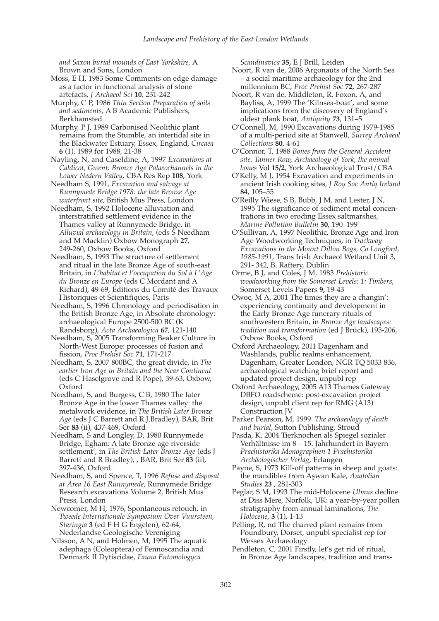*and Saxon burial mounds of East Yorkshire*, A Brown and Sons, London

Moss, E H, 1983 Some Comments on edge damage as a factor in functional analysis of stone artefacts, *J Archaeol Sci* **10**, 231-242

Murphy, C P, 1986 *Thin Section Preparation of soils and sediments*, A B Academic Publishers, Berkhamsted

Murphy, P J, 1989 Carbonised Neolithic plant remains from the Stumble, an intertidal site in the Blackwater Estuary, Essex, England, *Circaea* **6** (1), 1989 for 1988, 21-38

Nayling, N, and Caseldine, A, 1997 *Excavations at Caldicot, Gwent: Bronze Age Palaeochannels in the Lower Nedern Valley*, CBA Res Rep **108**, York

Needham S, 1991, *Excavation and salvage at Runnymede Bridge 1978: the late Bronze Age waterfront site*, British Mus Press, London

Needham, S, 1992 Holocene alluviation and interstratified settlement evidence in the Thames valley at Runnymede Bridge, in *Alluvial archaeology in Britain*, (eds S Needham and M Macklin) Oxbow Monograph **27**, 249-260, Oxbow Books, Oxford

Needham, S, 1993 The structure of settlement and ritual in the late Bronze Age of south-east Britain, in *L'habitat et l'occupation du Sol à L'Age du Bronze en Europe* (eds C Mordant and A Richard), 49-69, Editions du Comité des Travaux Historiques et Scientifiques, Paris

Needham, S, 1996 Chronology and periodisation in the British Bronze Age, in Absolute chronology: archaeological Europe 2500-500 BC (K Randsborg), *Acta Archaeologica* **67**, 121-140

Needham, S, 2005 Transforming Beaker Culture in North-West Europe: processes of fusion and fission, *Proc Prehist Soc* **71**, 171-217

Needham, S, 2007 800BC, the great divide, in *The earlier Iron Age in Britain and the Near Continent* (eds C Haselgrove and R Pope), 39-63, Oxbow, Oxford

Needham, S, and Burgess, C B, 1980 The later Bronze Age in the lower Thames valley: the metalwork evidence, in *The British Later Bronze Age* (eds J C Barrett and R.J.Bradley), BAR, Brit Ser **83** (ii), 437-469, Oxford

Needham, S and Longley, D, 1980 Runnymede Bridge, Egham: A late Bronze age riverside settlement', in *The British Later Bronze Age* (eds J Barrett and R Bradley), , BAR, Brit Ser **83** (ii), 397-436, Oxford.

Needham, S, and Spence, T, 1996 *Refuse and disposal at Area 16 East Runnymede*, Runnymede Bridge Research excavations Volume 2, British Mus Press, London

Newcomer, M H, 1976, Spontaneous retouch, in *Tweede Internationale Symposium Over Vuursteen, Staringia* **3** (ed F H G Engelen), 62-64, Nederlandse Geologische Vereniging

Nilsson, A N, and Holmen, M, 1995 The aquatic adephaga (Coleoptera) of Fennoscandia and Denmark II Dytiscidae, *Fauna Entomologyca*

*Scandinavica* **35,** E J Brill, Leiden

Noort, R van de, 2006 Argonauts of the North Sea – a social maritime archaeology for the 2nd millennium BC, *Proc Prehist Soc* **72**, 267-287

Noort, R van de, Middleton, R, Foxon, A, and Bayliss, A, 1999 The 'Kilnsea-boat', and some implications from the discovery of England's oldest plank boat, *Antiquity* **73**, 131–5

O'Connell, M, 1990 Excavations during 1979-1985 of a multi-period site at Stanwell, *Surrey Archaeol Collections* **80**, 4-61

O'Connor, T, 1988 *Bones from the General Accident site, Tanner Row, Archaeology of York, the animal bones* Vol **15/2**, York Archaeological Trust/CBA

O'Kelly, M J, 1954 Excavation and experiments in ancient Irish cooking sites, *J Roy Soc Antiq Ireland* **84**, 105–55

O'Reilly Wiese, S B, Bubb, J M, and Lester, J N, 1995 The significance of sediment metal concentrations in two eroding Essex saltmarshes, *Marine Pollution Bulletin* **30**, 190–199

O'Sullivan, A, 1997 Neolithic, Bronze Age and Iron Age Woodworking Techniques, in *Trackway Excavations in the Mount Dillon Bogs, Co Longford, 1985-1991*, Trans Irish Archaeol Wetland Unit 3, 291- 342, B. Raftery, Dublin

Orme, B J, and Coles, J M, 1983 *Prehistoric woodworking from the Somerset Levels: 1: Timbers*, Somerset Levels Papers **9,** 19-43

Owoc, M A, 2001 The times they are a changin': experiencing continuity and development in the Early Bronze Age funerary rituals of southwestern Britain, in *Bronze Age landscapes: tradition and transformation* (ed J Brück), 193-206, Oxbow Books, Oxford

Oxford Archaeology, 2011 Dagenham and Washlands, public realms enhancement, Dagenham, Greater London, NGR TQ 5033 836, archaeological watching brief report and updated project design, unpubl rep

Oxford Archaeology, 2005 A13 Thames Gateway DBFO roadscheme: post-excavation project design, unpubl client rep for RMG (A13) Construction JV

Parker Pearson, M, 1999. *The archaeology of death and burial*, Sutton Publishing, Stroud

Pasda, K, 2004 Tierknochen als Spiegel sozialer Verhältnisse im 8 – 15. Jahrhundert in Bayern *Praehistorika Monographien 1 Praehistorika Archäologischer Verlag*, Erlangen

Payne, S, 1973 Kill-off patterns in sheep and goats: the mandibles from Aşwan Kale, *Anatolian Studies* **23** , 281-303

Peglar, S M, 1993 The mid-Holocene *Ulmus* decline at Diss Mere, Norfolk, UK: a year-by-year pollen stratigraphy from annual laminations, *The Holocene*, **3** (1), 1-13

Pelling, R, nd The charred plant remains from Poundbury, Dorset, unpubl specialist rep for Wessex Archaeology

Pendleton, C, 2001 Firstly, let's get rid of ritual, in Bronze Age landscapes, tradition and trans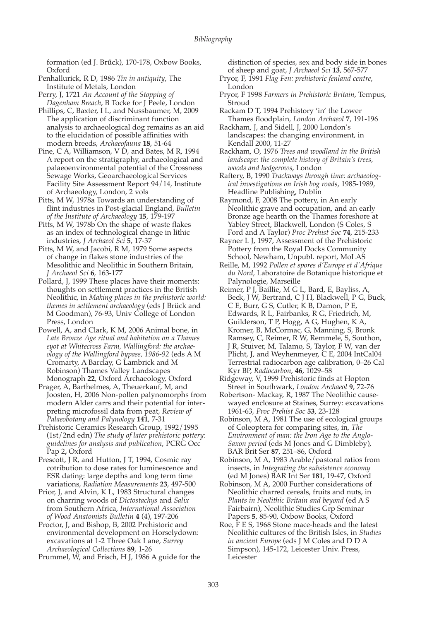formation (ed J. Brűck), 170-178, Oxbow Books, Oxford

Penhallurick, R D, 1986 *Tin in antiquity*, The Institute of Metals, London

Perry, J, 1721 *An Account of the Stopping of Dagenham Breach*, B Tocke for J Peele, London

Phillips, C, Baxter, I L, and Nussbaumer, M, 2009 The application of discriminant function analysis to archaeological dog remains as an aid to the elucidation of possible affinities with modern breeds, *Archaeofauna* **18**, 51-64

Pine, C A, Williamson, V D, and Bates, M R, 1994 A report on the stratigraphy, archaeological and palaeoenvironmental potential of the Crossness Sewage Works, Geoarchaeological Services Facility Site Assessment Report 94/14, Institute of Archaeology, London, 2 vols

Pitts, M W, 1978a Towards an understanding of flint industries in Post-glacial England, *Bulletin of the Institute of Archaeology* **15**, 179-197

Pitts, M W, 1978b On the shape of waste flakes as an index of technological change in lithic industries, *J Archaeol Sci* **5**, 17-37

Pitts, M W, and Jacobi, R M, 1979 Some aspects of change in flakes stone industries of the Mesolithic and Neolithic in Southern Britain, *J Archaeol Sci* **6**, 163-177

Pollard, J, 1999 These places have their moments: thoughts on settlement practices in the British Neolithic, in *Making places in the prehistoric world: themes in settlement archaeology* (eds J Brück and M Goodman), 76-93, Univ College of London Press, London

Powell, A, and Clark, K M, 2006 Animal bone, in *Late Bronze Age ritual and habitation on a Thames eyot at Whitecross Farm, Wallingford: the archaeology of the Wallingford bypass, 1986-92* (eds A M Cromarty, A Barclay, G Lambrick and M Robinson) Thames Valley Landscapes Monograph **22**, Oxford Archaeology, Oxford

Prager, A, Barthelmes, A, Theuerkauf, M, and Joosten, H, 2006 Non-pollen palynomorphs from modern Alder carrs and their potential for interpreting microfossil data from peat, *Review of Palaeobotany and Palynology* **141**, 7-31

Prehistoric Ceramics Research Group, 1992/1995 (1st/2nd edn) *The study of later prehistoric pottery: guidelines for analysis and publication*, PCRG Occ Pap 2**,** Oxford

Prescott, J R, and Hutton, J T, 1994, Cosmic ray cotribution to dose rates for luminescence and ESR dating: large depths and long term time variations, *Radiation Measurements* **23**, 497-500

Prior, J, and Alvin, K L, 1983 Structural changes on charring woods of *Dictostachys* and *Salix* from Southern Africa, *International Association of Wood Anatomists Bulletin* **4** (4), 197-206

Proctor, J, and Bishop, B, 2002 Prehistoric and environmental development on Horselydown: excavations at 1-2 Three Oak Lane, *Surrey Archaeological Collections* **89**, 1-26

Prummel, W, and Frisch, H J, 1986 A guide for the

distinction of species, sex and body side in bones of sheep and goat, *J Archaeol Sci* **13**, 567-577

Pryor, F, 1991 *Flag Fen: prehistoric fenland centre*, London

Pryor, F 1998 *Farmers in Prehistoric Britain*, Tempus, Stroud

Rackam D T, 1994 Prehistory 'in' the Lower Thames floodplain, *London Archaeol* **7**, 191-196

Rackham, J, and Sidell, J, 2000 London's landscapes: the changing environment, in Kendall 2000, 11-27

Rackham, O, 1976 *Trees and woodland in the British landscape: the complete history of Britain's trees, woods and hedgerows*, London

Raftery, B, 1990 *Trackways through time: archaeological investigations on Irish bog roads*, 1985-1989, Headline Publishing, Dublin

Raymond, F, 2008 The pottery, in An early Neolithic grave and occupation, and an early Bronze age hearth on the Thames foreshore at Yabley Street, Blackwell, London (S Coles, S Ford and A Taylor) *Proc Prehist Soc* **74**, 215-233

Rayner L J, 1997, Assessment of the Prehistoric Pottery from the Royal Docks Community School, Newham, Unpubl. report, MoLAS

Reille, M, 1992 *Pollen et spores d'Europe et d'Afrique du Nord*, Laboratoire de Botanique historique et Palynologie, Marseille

Reimer, P J, Baillie, M G L, Bard, E, Bayliss, A, Beck, J W, Bertrand, C J H, Blackwell, P G, Buck, C E, Burr, G S, Cutler, K B, Damon, P E, Edwards, R L, Fairbanks, R G, Friedrich, M, Guilderson, T P, Hogg, A G, Hughen, K A, Kromer, B, McCormac, G, Manning, S, Bronk Ramsey, C, Reimer, R W, Remmele, S, Southon, J R, Stuiver, M, Talamo, S, Taylor, F W, van der Plicht, J, and Weyhenmeyer, C E, 2004 IntCal04 Terrestrial radiocarbon age calibration, 0–26 Cal Kyr BP, *Radiocarbon*, **46**, 1029–58

Ridgeway, V, 1999 Prehistoric finds at Hopton Street in Southwark, *London Archaeol* **9**, 72-76

Robertson- Mackay, R, 1987 The Neolithic causewayed enclosure at Staines, Surrey: excavations 1961-63, *Proc Prehist Soc* **53**, 23-128

Robinson, M A, 1981 The use of ecological groups of Coleoptera for comparing sites, in*, The Environment of man: the Iron Age to the Anglo-Saxon period* (eds M Jones and G Dimbleby), BAR Brit Ser **87**, 251–86, Oxford

Robinson, M A, 1983 Arable/pastoral ratios from insects, in *Integrating the subsistence economy* (ed M Jones) BAR Int Ser **181**, 19-47, Oxford

Robinson, M A, 2000 Further considerations of Neolithic charred cereals, fruits and nuts, in *Plants in Neolithic Britain and beyond* (ed A S Fairbairn), Neolithic Studies Grp Seminar Papers **5**, 85-90, Oxbow Books, Oxford

Roe, F E S, 1968 Stone mace-heads and the latest Neolithic cultures of the British Isles, in *Studies in ancient Europe* (eds J M Coles and D D A Simpson), 145-172, Leicester Univ. Press, Leicester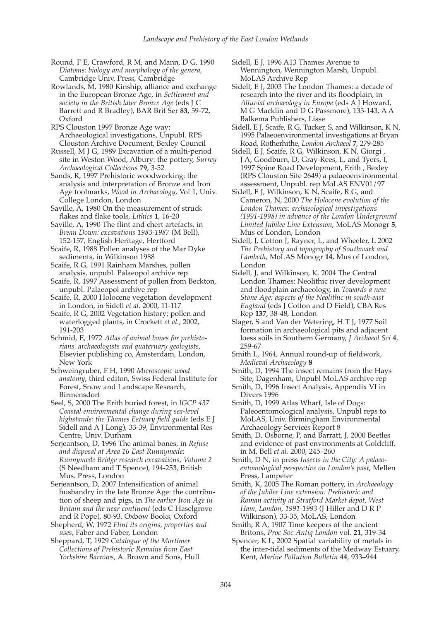Round, F E, Crawford, R M, and Mann, D G, 1990 *Diatoms: biology and morphology of the genera*, Cambridge Univ. Press, Cambridge

Rowlands, M, 1980 Kinship, alliance and exchange in the European Bronze Age, in *Settlement and society in the British later Bronze Age* (eds J C Barrett and R Bradley), BAR Brit Ser **83,** 59-72, Oxford

RPS Clouston 1997 Bronze Age way: Archaeological investigations, Unpubl. RPS Clouston Archive Document, Bexley Council

Russell, M J G, 1989 Excavation of a multi-period site in Weston Wood, Albury: the pottery, *Surrey Archaeological Collections* **79**, 3-52

Sands, R, 1997 Prehistoric woodworking: the analysis and interpretation of Bronze and Iron Age toolmarks, *Wood in Archaeology*, Vol 1, Univ. College London, London

Saville, A, 1980 On the measurement of struck flakes and flake tools, *Lithics* **1**, 16-20

Saville, A, 1990 The flint and chert artefacts, in *Brean Down: excavations 1983-1987* (M Bell), 152-157, English Heritage, Hertford

Scaife, R, 1988 Pollen analyses of the Mar Dyke sediments, in Wilkinson 1988

Scaife, R G, 1991 Rainham Marshes, pollen analysis, unpubl. Palaeopol archive rep

Scaife, R, 1997 Assessment of pollen from Beckton, unpubl. Palaeopol archive rep

Scaife, R, 2000 Holocene vegetation development in London, in Sidell *et al*. 2000, 11-117

Scaife, R G, 2002 Vegetation history; pollen and waterlogged plants, in Crockett *et al.*, 2002, 191-203

Schmid, E, 1972 *Atlas of animal bones for prehistorians, archaeologists and quaternary geologists*, Elsevier publishing co, Amsterdam, London, New York

Schweingruber, F H, 1990 *Microscopic wood anatomy*, third editon, Swiss Federal Institute for Forest, Snow and Landscape Research, Birmensdorf

Seel, S, 2000 The Erith buried forest, in *IGCP 437 Coastal environmental change during sea-level highstands: the Thames Estuary field guide* (eds E J Sidell and A J Long), 33-39, Environmental Res Centre, Univ. Durham

Serjeantson, D, 1996 The animal bones, in *Refuse and disposal at Area 16 East Runnymede*: *Runnymede Bridge research excavations, Volume 2* (S Needham and T Spence), 194-253, British Mus. Press, London

Serjeantson, D, 2007 Intensification of animal husbandry in the late Bronze Age: the contribution of sheep and pigs, in *The earlier Iron Age in Britain and the near continent* (eds C Haselgrove and R Pope), 80-93, Oxbow Books, Oxford

Shepherd, W, 1972 *Flint its origins, properties and uses*, Faber and Faber, London

Sheppard, T, 1929 *Catalogue of the Mortimer Collections of Prehistoric Remains from East Yorkshire Barrows,* A. Brown and Sons, Hull Sidell, E J, 1996 A13 Thames Avenue to Wennington, Wennington Marsh, Unpubl. MoLAS Archive Rep

Sidell, E J, 2003 The London Thames: a decade of research into the river and its floodplain, in *Alluvial archaeology in Europe* (eds A J Howard, M G Macklin and D G Passmore), 133-143, A A Balkema Publishers, Lisse

Sidell, E J, Scaife, R G, Tucker, S, and Wilkinson, K N, 1995 Palaeoenvironmental investigations at Bryan Road, Rotherhithe, *London Archaeol* **7**, 279-285

Sidell, E J, Scaife, R G, Wilkinson, K N, Giorgi , J A, Goodburn, D, Gray-Rees, L, and Tyers, I, 1997 Spine Road Development, Erith , Bexley (RPS Clouston Site 2649) a palaeoenvironmental assessment, Unpubl. rep MoLAS ENV01/97

Sidell, E J, Wilkinson, K N, Scaife, R G, and Cameron, N, 2000 *The Holocene evolution of the London Thames: archaeological investigations (1991-1998) in advance of the London Underground Limited Jubilee Line Extension*, MoLAS Monogr **5**, Mus of London, London

Sidell, J, Cotton J, Rayner, L, and Wheeler, L 2002 *The Prehistory and topography of Southwark and Lambeth*, MoLAS Monogr **14**, Mus of London, London

Sidell, J, and Wilkinson, K, 2004 The Central London Thames: Neolithic river development and floodplain archaeology, in *Towards a new Stone Age: aspects of the Neolithic in south-east England* (eds J Cotton and D Field), CBA Res Rep **137**, 38-48, London

Slager, S and Van der Wetering, H T J, 1977 Soil formation in archaeological pits and adjacent loess soils in Southern Germany, *J Archaeol Sci* **4**, 259-67

Smith I., 1964, Annual round-up of fieldwork, *Medieval Archaeology* **8**

Smith, D, 1994 The insect remains from the Hays Site, Dagenham, Unpubl MoLAS archive rep

Smith, D, 1996 Insect Analysis, Appendix VI in Divers 1996

Smith, D, 1999 Atlas Wharf, Isle of Dogs: Paleoentomological analysis, Unpubl reps to MoLAS, Univ. Birmingham Environmental Archaeology Services Report 8

Smith, D, Osborne, P, and Barratt, J, 2000 Beetles and evidence of past environments at Goldcliff, in M, Bell *et al.* 2000, 245–260

Smith, D N, in press *Insects in the City: A palaeoentomological perspective on London's past*, Mellen Press, Lampeter

Smith, K, 2005 The Roman pottery, in *Archaeology of the Jubilee Line extension: Prehistoric and Roman activity at Stratford Market depot, West Ham, London, 1991-1993* (J Hiller and D R P Wilkinson), 33-35, MoLAS, London

Smith, R A, 1907 Time keepers of the ancient Britons, *Proc Soc Antiq London* vol. **21**, 319-34

Spencer, K L, 2002 Spatial variability of metals in the inter-tidal sediments of the Medway Estuary, Kent, *Marine Pollution Bulletin* **44**, 933–944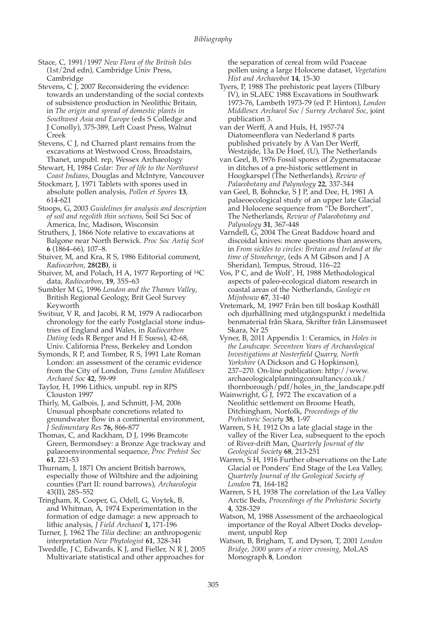Stace, C, 1991/1997 *New Flora of the British Isles* (1st/2nd edn), Cambridge Univ Press, **Cambridge** 

Stevens, C  $\overline{J}$ , 2007 Reconsidering the evidence: towards an understanding of the social contexts of subsistence production in Neolithic Britain, in *The origin and spread of domestic plants in Southwest Asia and Europe* (eds S Colledge and J Conolly), 375-389, Left Coast Press, Walnut Creek

Stevens, C J, nd Charred plant remains from the excavations at Westwood Cross, Broadstairs, Thanet, unpubl. rep, Wessex Archaeology

Stewart, H, 1984 *Cedar: Tree of life to the Northwest Coast Indians*, Douglas and McIntyre, Vancouver

Stockmarr, J, 1971 Tablets with spores used in absolute pollen analysis, *Pollen et Spores* **13**, 614-621

Stoops, G, 2003 *Guidelines for analysis and description of soil and regolith thin sections*, Soil Sci Soc of America, Inc, Madison, Wisconsin

Struthers, J, 1866 Note relative to excavations at Balgone near North Berwick. *Proc Soc Antiq Scot* **6** (1864–66), 107–8.

Stuiver, M, and Kra, R S, 1986 Editorial comment, *Radiocarbon*, **28(2B)**, ii

Stuiver, M, and Polach, H A, 1977 Reporting of 14C data, *Radiocarbon*, **19**, 355–63

Sumbler M G, 1996 *London and the Thames Valley*, British Regional Geology, Brit Geol Survey Keyworth

Switsur, V R, and Jacobi, R M, 1979 A radiocarbon chronology for the early Postglacial stone industries of England and Wales, in *Radiocarbon Dating* (eds R Berger and H E Suess), 42-68, Univ. California Press, Berkeley and London

Symonds, R P, and Tomber, R S, 1991 Late Roman London: an assessment of the ceramic evidence from the City of London, *Trans London Middlesex Archaeol Soc* **42**, 59-99

Taylor, H, 1996 Lithics, unpubl. rep in RPS Clouston 1997

Thirly, M, Galbois, J, and Schmitt, J-M, 2006 Unusual phosphate concretions related to groundwater flow in a continental environment, *J Sedimentary Res* **76,** 866-877

Thomas, C, and Rackham, D J, 1996 Bramcote Green, Bermondsey: a Bronze Age trackway and palaeoenvironmental sequence, *Proc Prehist Soc* **61**, 221-53

Thurnam, J, 1871 On ancient British barrows, especially those of Wiltshire and the adjoining counties (Part II: round barrows), *Archaeologia* 43(II), 285–552

Tringham, R, Cooper, G, Odell, G, Voytek, B, and Whitman, A, 1974 Experimentation in the formation of edge damage: a new approach to lithic analysis, *J Field Archaeol* **1,** 171-196

Turner, J, 1962 The *Tilia* decline: an anthropogenic interpretation *New Phytologist* **61**, 328-341

Tweddle, J C, Edwards, K J, and Fieller, N R J, 2005 Multivariate statistical and other approaches for

the separation of cereal from wild Poaceae pollen using a large Holocene dataset, *Vegetation Hist and Archaeobot* **14**, 15-30

Tyers, P, 1988 The prehistoric peat layers (Tilbury IV), in SLAEC 1988 Excavations in Southwark 1973-76, Lambeth 1973-79 (ed P. Hinton), *London Middlesex Archaeol Soc / Surrey Archaeol Soc*, joint publication 3.

van der Werff, A and Huls, H, 1957-74 Diatomeenflora van Nederland 8 parts published privately by A Van Der Werff, Westzijde, 13a De Hoef, (U), The Netherlands

van Geel, B, 1976 Fossil spores of Zygnemataceae in ditches of a pre-historic settlement in Hoogkarspel (The Netherlands), *Review of Palaeobotany and Palynology* **22**, 337-344

van Geel, B, Bohncke, S J P, and Dee, H, 1981 A palaeoecological study of an upper late Glacial and Holocene sequence from "De Borchert", The Netherlands, *Review of Palaeobotany and Palynology* **31**, 367-448

Varndell, G, 2004 The Great Baddow hoard and discoidal knives: more questions than answers, in *From sickles to circles: Britain and Ireland at the time of Stonehenge*, (eds A M Gibson and J A Sheridan), Tempus, Stroud, 116–22

Vos, P C, and de Wolf', H, 1988 Methodological aspects of paleo-ecological diatom research in coastal areas of the Netherlands, *Geologie en Mijnbouw* **67**, 31-40

Vretemark, M, 1997 Från ben till boskap Kosthåll och djurhållning med utgångspunkt i medeltida benmaterial från Skara, Skrifter från Länsmuseet Skara, Nr 25

Vyner, B, 2011 Appendix 1: Ceramics, in *Holes in the Landscape. Seventeen Years of Archaeological Investigations at Nosterfield Quarry, North Yorkshire* (A Dickson and G Hopkinson), 237–270. On-line publication: http://www. archaeologicalplanningconsultancy.co.uk/ thornborough/pdf/holes\_in\_the\_landscape.pdf

Wainwright, G J, 1972 The excavation of a Neolithic settlement on Broome Heath, Ditchingham, Norfolk, *Proceedings of the Prehistoric Society* **38**, 1-97

Warren, S H, 1912 On a late glacial stage in the valley of the River Lea, subsequent to the epoch of River-drift Man, *Quarterly Journal of the Geological Society* **68**, 213-251

Warren, S H, 1916 Further observations on the Late Glacial or Ponders' End Stage of the Lea Valley, *Quarterly Journal of the Geological Society of London* **71**, 164-182

Warren, S H, 1938 The correlation of the Lea Valley Arctic Beds, *Proceedings of the Prehistoric Society* **4**, 328-329

Watson, M, 1988 Assessment of the archaeological importance of the Royal Albert Docks development, unpubl Rep

Watson, B, Brigham, T, and Dyson, T, 2001 *London Bridge, 2000 years of a river crossing*, MoLAS Monograph **8**, London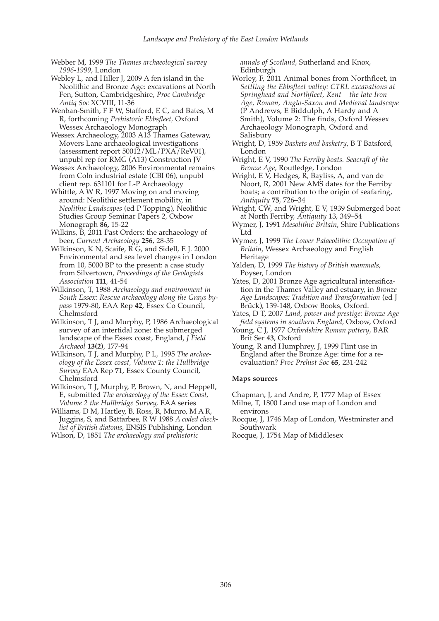Webber M, 1999 *The Thames archaeological survey 1996*-*1999*, London

Webley L, and Hiller J, 2009 A fen island in the Neolithic and Bronze Age: excavations at North Fen, Sutton, Cambridgeshire, *Proc Cambridge Antiq Soc* XCVIII, 11-36

Wenban-Smith, F F W, Stafford, E C, and Bates, M R, forthcoming *Prehistoric Ebbsfleet,* Oxford Wessex Archaeology Monograph

Wessex Archaeology, 2003 A13 Thames Gateway, Movers Lane archaeological investigations (assessment report 50012/ML/PXA/ReV01), unpubl rep for RMG (A13) Construction JV

Wessex Archaeology, 2006 Environmental remains from Coln industrial estate (CBI 06), unpubl client rep. 631101 for L-P Archaeology

Whittle, A W R, 1997 Moving on and moving around: Neolithic settlement mobility, in *Neolithic Landscapes* (ed P Topping), Neolithic Studies Group Seminar Papers 2, Oxbow Monograph **86,** 15-22

Wilkins, B, 2011 Past Orders: the archaeology of beer, *Current Archaeology* **256**, 28-35

Wilkinson, K N, Scaife, R G, and Sidell, E J. 2000 Environmental and sea level changes in London from 10, 5000 BP to the present: a case study from Silvertown, *Proceedings of the Geologists Association* **111**, 41-54

Wilkinson, T, 1988 *Archaeology and environment in South Essex: Rescue archaeology along the Grays bypass* 1979-80, EAA Rep **42**, Essex Co Council, Chelmsford

Wilkinson, T J, and Murphy, P, 1986 Archaeological survey of an intertidal zone: the submerged landscape of the Essex coast, England, *J Field Archaeol* **13(2)**, 177-94

Wilkinson, T J, and Murphy, P L, 1995 *The archaeology of the Essex coast, Volume 1: the Hullbridge Survey* EAA Rep **71**, Essex County Council, Chelmsford

Wilkinson, T J, Murphy, P, Brown, N, and Heppell, E, submitted *The archaeology of the Essex Coast, Volume 2 the Hullbridge Survey,* EAA series

Williams, D M, Hartley, B, Ross, R, Munro, M A R, Juggins, S, and Battarbee, R W 1988 *A coded checklist of British diatoms*, ENSIS Publishing, London

Wilson, D, 1851 *The archaeology and prehistoric*

*annals of Scotland*, Sutherland and Knox, Edinburgh

Worley, F, 2011 Animal bones from Northfleet, in *Settling the Ebbsfleet valley: CTRL excavations at Springhead and Northfleet, Kent – the late Iron Age, Roman, Anglo-Saxon and Medieval landscape* (P Andrews, E Biddulph, A Hardy and A Smith), Volume 2: The finds, Oxford Wessex Archaeology Monograph, Oxford and Salisbury

Wright, D, 1959 *Baskets and basketry*, B T Batsford, London

Wright, E V, 1990 *The Ferriby boats. Seacraft of the Bronze Age*, Routledge, London

Wright, E V, Hedges, R, Bayliss, A, and van de Noort, R, 2001 New AMS dates for the Ferriby boats; a contribution to the origin of seafaring, *Antiquity* **75**, 726–34

Wright, CW, and Wright, E V, 1939 Submerged boat at North Ferriby, *Antiquity* 13, 349–54

Wymer, J, 1991 *Mesolithic Britain*, Shire Publications Ltd

Wymer, J, 1999 *The Lower Palaeolithic Occupation of Britain*, Wessex Archaeology and English Heritage

Yalden, D, 1999 *The history of British mammals,* Poyser, London

Yates, D, 2001 Bronze Age agricultural intensification in the Thames Valley and estuary, in *Bronze Age Landscapes: Tradition and Transformation* (ed J Brück), 139-148, Oxbow Books, Oxford.

Yates, D T, 2007 *Land, power and prestige: Bronze Age field systems in southern England,* Oxbow, Oxford

Young, C J, 1977 *Oxfordshire Roman pottery*, BAR Brit Ser **43**, Oxford

Young, R and Humphrey, J, 1999 Flint use in England after the Bronze Age: time for a reevaluation? *Proc Prehist Soc* **65**, 231-242

## **Maps sources**

Chapman, J, and Andre, P, 1777 Map of Essex

Milne, T, 1800 Land use map of London and environs

Rocque, J, 1746 Map of London, Westminster and Southwark

Rocque, J, 1754 Map of Middlesex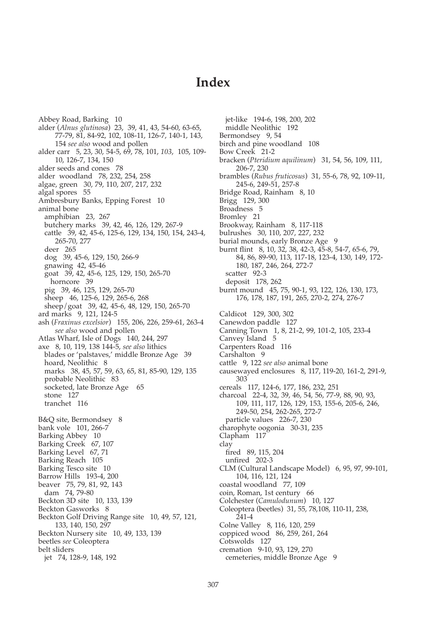## **Index**

Abbey Road, Barking 10 alder (*Alnus glutinosa*) 23, 39, 41, 43, 54-60, 63-65, 77-79, 81, 84-92, 102, 108-11, 126-7, 140-1, 143, 154 *see also* wood and pollen alder carr 5, 23, 30, 54-5, 69, 78, 101, *103*, 105, 109- 10, 126-7, 134, 150 alder seeds and cones 78 alder woodland 78, 232, 254, 258 algae, green 30, 79, 110, 207, 217, 232 algal spores 55 Ambresbury Banks, Epping Forest 10 animal bone amphibian 23, 267 butchery marks 39, 42, 46, 126, 129, 267-9 cattle 39, 42, 45-6, 125-6, 129, 134, 150, 154, 243-4, 265-70, 277 deer 265 dog 39, 45-6, 129, 150, 266-9 gnawing 42, 45-46 goat 39, 42, 45-6, 125, 129, 150, 265-70 horncore 39 pig 39, 46, 125, 129, 265-70 sheep 46, 125-6, 129, 265-6, 268 sheep/goat 39, 42, 45-6, 48, 129, 150, 265-70 ard marks 9, 121, 124-5 ash (*Fraxinus excelsior*) 155, 206, 226, 259-61, 263-4 *see also* wood and pollen Atlas Wharf, Isle of Dogs 140, 244, 297 axe 8, 10, 119, 138 144-5, *see also* lithics blades or 'palstaves,' middle Bronze Age 39 hoard, Neolithic 8 marks 38, 45, 57, 59, 63, 65, 81, 85-90, 129, 135 probable Neolithic 83 socketed, late Bronze Age 65 stone 127 tranchet 116 B&Q site, Bermondsey 8 bank vole 101, 266-7 Barking Abbey 10 Barking Creek 67, 107 Barking Level 67, 71 Barking Reach 105 Barking Tesco site 10 Barrow Hills 193-4, 200 beaver 75, 79, 81, 92, 143 dam 74, 79-80 Beckton 3D site 10, 133, 139 Beckton Gasworks 8 Beckton Golf Driving Range site 10, 49, 57, 121, 133, 140, 150, 297 Beckton Nursery site 10, 49, 133, 139 beetles *see* Coleoptera belt sliders jet 74, 128-9, 148, 192

jet-like 194-6, 198, 200, 202 middle Neolithic 192 Bermondsey 9, 54 birch and pine woodland 108 Bow Creek 21-2 bracken (*Pteridium aquilinum*) 31, 54, 56, 109, 111, 206-7, 230 brambles (*Rubus fruticosus*) 31, 55-6, 78, 92, 109-11, 245-6, 249-51, 257-8 Bridge Road, Rainham 8, 10 Brigg 129, 300 Broadness 5 Bromley 21 Brookway, Rainham 8, 117-118 bulrushes 30, 110, 207, 227, 232 burial mounds, early Bronze Age 9 burnt flint 8, 10, 32, 38, 42-3, 45-8, 54-7, 65-6, 79, 84, 86, 89-90, 113, 117-18, 123-4, 130, 149, 172- 180, 187, 246, 264, 272-7 scatter 92-3 deposit 178, 262 burnt mound 45, 75, 90-1, 93, 122, 126, 130, 173, 176, 178, 187, 191, 265, 270-2, 274, 276-7 Caldicot 129, 300, 302 Canewdon paddle 127 Canning Town 1, 8, 21-2, 99, 101-2, 105, 233-4 Canvey Island 5 Carpenters Road 116 Carshalton 9 cattle 9, 122 *see also* animal bone causewayed enclosures 8, 117, 119-20, 161-2, 291-9, 303 cereals 117, 124-6, 177, 186, 232, 251 charcoal 22-4, 32, 39, 46, 54, 56, 77-9, 88, 90, 93, 109, 111, 117, 126, 129, 153, 155-6, 205-6, 246, 249-50, 254, 262-265, 272-7 particle values 226-7, 230 charophyte oogonia 30-31, 235 Clapham 117 clay fired 89, 115, 204 unfired 202-3 CLM (Cultural Landscape Model) 6, 95, 97, 99-101, 104, 116, 121, 124 coastal woodland 77, 109 coin, Roman, 1st century 66 Colchester (*Camulodunum*) 10, 127 Coleoptera (beetles) 31, 55, 78,108, 110-11, 238, 241-4 Colne Valley 8, 116, 120, 259 coppiced wood 86, 259, 261, 264 Cotswolds 127 cremation 9-10, 93, 129, 270

cemeteries, middle Bronze Age 9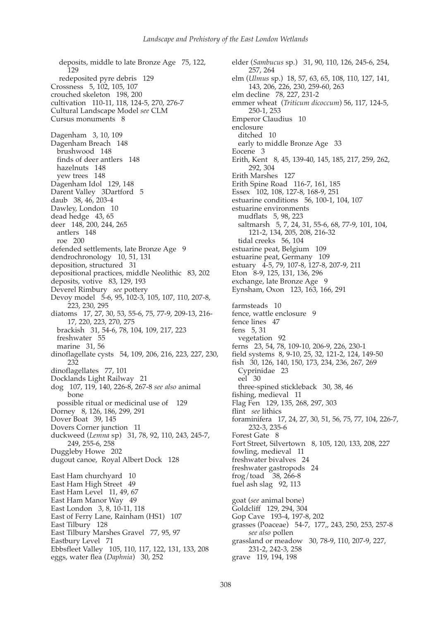deposits, middle to late Bronze Age 75, 122, 129 redeposited pyre debris 129 Crossness 5, 102, 105, 107 crouched skeleton 198, 200 cultivation 110-11, 118, 124-5, 270, 276-7 Cultural Landscape Model *see* CLM Cursus monuments 8 Dagenham 3, 10, 109 Dagenham Breach 148 brushwood 148 finds of deer antlers 148 hazelnuts 148 yew trees 148 Dagenham Idol 129, 148 Darent Valley 3Dartford 5 daub 38, 46, 203-4 Dawley, London 10 dead hedge 43, 65 deer 148, 200, 244, 265 antlers 148 roe 200 defended settlements, late Bronze Age 9 dendrochronology 10, 51, 131 deposition, structured 31 depositional practices, middle Neolithic 83, 202 deposits, votive 83, 129, 193 Deverel Rimbury *see* pottery Devoy model 5-6, 95, 102-3, 105, 107, 110, 207-8, 223, 230, 295 diatoms 17, 27, 30, 53, 55-6, 75, 77-9, 209-13, 216- 17, 220, 223, 270, 275 brackish 31, 54-6, 78, 104, 109, 217, 223 freshwater 55 marine 31, 56 dinoflagellate cysts 54, 109, 206, 216, 223, 227, 230, 232 dinoflagellates 77, 101 Docklands Light Railway 21 dog 107, 119, 140, 226-8, 267-8 *see also* animal bone possible ritual or medicinal use of 129 Dorney 8, 126, 186, 299, 291 Dover Boat 39, 145 Dovers Corner junction 11 duckweed (*Lemna* sp) 31, 78, 92, 110, 243, 245-7, 249, 255-6, 258 Duggleby Howe 202 dugout canoe, Royal Albert Dock 128 East Ham churchyard 10 East Ham High Street 49 East Ham Level 11, 49, 67 East Ham Manor Way 49 East London 3, 8, 10-11, 118 East of Ferry Lane, Rainham (HS1) 107 East Tilbury 128 East Tilbury Marshes Gravel 77, 95, 97 Eastbury Level 71 Ebbsfleet Valley 105, 110, 117, 122, 131, 133, 208 eggs, water flea (*Daphnia*) 30, 252

elder (*Sambucus* sp.) 31, 90, 110, 126, 245-6, 254, 257, 264 elm (*Ulmus* sp.) 18, 57, 63, 65, 108, 110, 127, 141, 143, 206, 226, 230, 259-60, 263 elm decline 78, 227, 231-2 emmer wheat (*Triticum dicoccum*) 56, 117, 124-5, 250-1, 253 Emperor Claudius 10 enclosure ditched 10 early to middle Bronze Age 33 Eocene 3 Erith, Kent 8, 45, 139-40, 145, 185, 217, 259, 262, 292, 304 Erith Marshes 127 Erith Spine Road 116-7, 161, 185 Essex 102, 108, 127-8, 168-9, 251 estuarine conditions 56, 100-1, 104, 107 estuarine environments mudflats 5, 98, 223 saltmarsh 5, 7, 24, 31, 55-6, 68, 77-9, 101, 104, 121-2, 134, 205, 208, 216-32 tidal creeks 56, 104 estuarine peat, Belgium 109 estuarine peat, Germany 109 estuary 4-5, 79, 107-8, 127-8, 207-9, 211 Eton 8-9, 125, 131, 136, 296 exchange, late Bronze Age 9 Eynsham, Oxon 123, 163, 166, 291 farmsteads 10 fence, wattle enclosure 9 fence lines 47 fens 5, 31 vegetation 92 ferns 23, 54, 78, 109-10, 206-9, 226, 230-1 field systems 8, 9-10, 25, 32, 121-2, 124, 149-50 fish 30, 126, 140, 150, 173, 234, 236, 267, 269 Cyprinidae 23 eel 30 three-spined stickleback 30, 38, 46 fishing, medieval 11 Flag Fen 129, 135, 268, 297, 303 flint *see* lithics foraminifera 17, 24, 27, 30, 51, 56, 75, 77, 104, 226-7, 232-3, 235-6 Forest Gate 8 Fort Street, Silvertown 8, 105, 120, 133, 208, 227 fowling, medieval 11 freshwater bivalves 24 freshwater gastropods 24 frog/toad 38, 266-8 fuel ash slag 92, 113 goat (*see* animal bone) Goldcliff 129, 294, 304 Gop Cave 193-4, 197-8, 202 grasses (Poaceae) 54-7, 177,, 243, 250, 253, 257-8 *see also* pollen grassland or meadow 30, 78-9, 110, 207-9, 227, 231-2, 242-3, 258 grave 119, 194, 198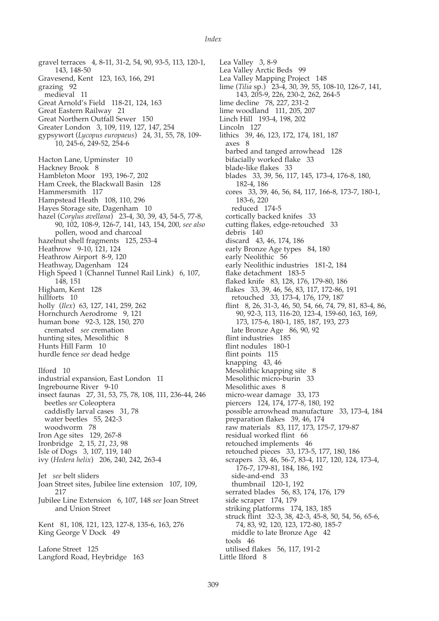gravel terraces 4, 8-11, 31-2, 54, 90, 93-5, 113, 120-1, 143, 148-50 Gravesend, Kent 123, 163, 166, 291 grazing 92 medieval 11 Great Arnold's Field 118-21, 124, 163 Great Eastern Railway 21 Great Northern Outfall Sewer 150 Greater London 3, 109, 119, 127, 147, 254 gypsywort (*Lycopus europaeus*) 24, 31, 55, 78, 109- 10, 245-6, 249-52, 254-6 Hacton Lane, Upminster 10 Hackney Brook 8 Hambleton Moor 193, 196-7, 202 Ham Creek, the Blackwall Basin 128 Hammersmith 117 Hampstead Heath 108, 110, 296 Hayes Storage site, Dagenham 10 hazel (*Corylus avellana*) 23-4, 30, 39, 43, 54-5, 77-8, 90, 102, 108-9, 126-7, 141, 143, 154, 200, *see also* pollen, wood and charcoal hazelnut shell fragments 125, 253-4 Heathrow 9-10, 121, 124 Heathrow Airport 8-9, 120 Heathway, Dagenham 124 High Speed 1 (Channel Tunnel Rail Link) 6, 107, 148, 151 Higham, Kent 128 hillforts 10 holly (*Ilex*) 63, 127, 141, 259, 262 Hornchurch Aerodrome 9, 121 human bone 92-3, 128, 150, 270 cremated *see* cremation hunting sites, Mesolithic 8 Hunts Hill Farm 10 hurdle fence *see* dead hedge Ilford 10 industrial expansion, East London 11 Ingrebourne River 9-10 insect faunas 27, 31, 53, 75, 78, 108, 111, 236-44, 246 beetles *see* Coleoptera caddisfly larval cases 31, 78 water beetles 55, 242-3 woodworm 78 Iron Age sites 129, 267-8 Ironbridge 2, 15, *21*, *23*, 98 Isle of Dogs 3, 107, 119, 140 ivy (*Hedera helix*) 206, 240, 242, 263-4 Jet *see* belt sliders Joan Street sites, Jubilee line extension 107, 109, 217 Jubilee Line Extension 6, 107, 148 *see* Joan Street and Union Street Kent 81, 108, 121, 123, 127-8, 135-6, 163, 276 King George V Dock 49 Lafone Street 125 Langford Road, Heybridge 163

309

Lea Valley 3, 8-9 Lea Valley Arctic Beds 99 Lea Valley Mapping Project 148 lime (*Tilia* sp.) 23-4, 30, 39, 55, 108-10, 126-7, 141, 143, 205-9, 226, 230-2, 262, 264-5 lime decline 78, 227, 231-2 lime woodland 111, 205, 207 Linch Hill 193-4, 198, 202 Lincoln 127 lithics 39, 46, 123, 172, 174, 181, 187 axes 8 barbed and tanged arrowhead 128 bifacially worked flake 33 blade-like flakes 33 blades 33, 39, 56, 117, 145, 173-4, 176-8, 180, 182-4, 186 cores 33, 39, 46, 56, 84, 117, 166-8, 173-7, 180-1, 183-6, 220 reduced 174-5 cortically backed knifes 33 cutting flakes, edge-retouched 33 debris 140 discard 43, 46, 174, 186 early Bronze Age types 84, 180 early Neolithic<sup>56</sup> early Neolithic industries 181-2, 184 flake detachment 183-5 flaked knife 83, 128, 176, 179-80, 186 flakes 33, 39, 46, 56, 83, 117, 172-86, 191 retouched 33, 173-4, 176, 179, 187 flint 8, 26, 31-3, 46, 50, 54, 66, 74, 79, 81, 83-4, 86, 90, 92-3, 113, 116-20, 123-4, 159-60, 163, 169, 173, 175-6, 180-1, 185, 187, 193, 273 late Bronze Age 86, 90, 92 flint industries 185 flint nodules 180-1 flint points 115 knapping 43, 46 Mesolithic knapping site 8 Mesolithic micro-burin 33 Mesolithic axes 8 micro-wear damage 33, 173 piercers 124, 174, 177-8, 180, 192 possible arrowhead manufacture 33, 173-4, 184 preparation flakes 39, 46, 174 raw materials 83, 117, 173, 175-7, 179-87 residual worked flint 66 retouched implements 46 retouched pieces 33, 173-5, 177, 180, 186 scrapers 33, 46, 56-7, 83-4, 117, 120, 124, 173-4, 176-7, 179-81, 184, 186, 192 side-and-end 33 thumbnail 120-1, 192 serrated blades 56, 83, 174, 176, 179 side scraper 174, 179 striking platforms 174, 183, 185 struck flint 32-3, 38, 42-3, 45-8, 50, 54, 56, 65-6, 74, 83, 92, 120, 123, 172-80, 185-7 middle to late Bronze Age 42 tools 46 utilised flakes 56, 117, 191-2 Little Ilford 8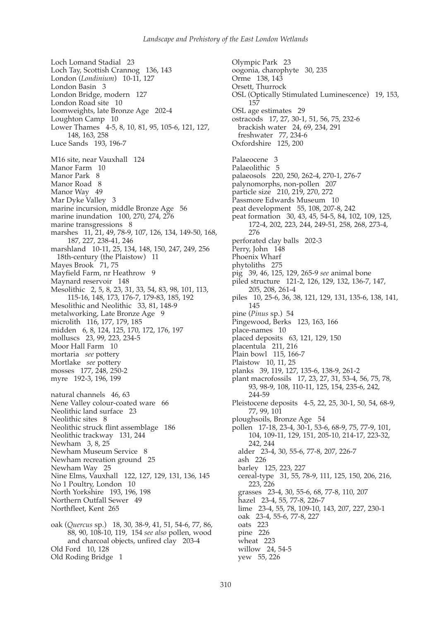Loch Lomand Stadial 23 Loch Tay, Scottish Crannog 136, 143 London (*Londinium*) 10-11, 127 London Basin 3 London Bridge, modern 127 London Road site 10 loomweights, late Bronze Age 202-4 Loughton Camp 10 Lower Thames 4-5, 8, 10, 81, 95, 105-6, 121, 127, 148, 163, 258 Luce Sands 193, 196-7 M16 site, near Vauxhall 124 Manor Farm 10 Manor Park 8 Manor Road 8 Manor Way 49 Mar Dyke Valley 3 marine incursion, middle Bronze Age 56 marine inundation 100, 270, 274, 276 marine transgressions 8 marshes 11, 21, 49, 78-9, 107, 126, 134, 149-50, 168, 187, 227, 238-41, 246 marshland 10-11, 25, 134, 148, 150, 247, 249, 256 18th-century (the Plaistow) 11 Mayes Brook 71, 75 Mayfield Farm, nr Heathrow 9 Maynard reservoir 148 Mesolithic 2, 5, 8, 23, 31, 33, 54, 83, 98, 101, 113, 115-16, 148, 173, 176-7, 179-83, 185, 192 Mesolithic and Neolithic 33, 81, 148-9 metalworking, Late Bronze Age 9 microlith 116, 177, 179, 185 midden 6, 8, 124, 125, 170, 172, 176, 197 molluscs 23, 99, 223, 234-5 Moor Hall Farm 10 mortaria *see* pottery Mortlake *see* pottery mosses 177, 248, 250-2 myre 192-3, 196, 199 natural channels 46, 63 Nene Valley colour-coated ware 66 Neolithic land surface 23 Neolithic sites 8 Neolithic struck flint assemblage 186 Neolithic trackway 131, 244 Newham 3, 8, 25 Newham Museum Service 8 Newham recreation ground 25 Newham Way 25 Nine Elms, Vauxhall 122, 127, 129, 131, 136, 145 No 1 Poultry, London 10 North Yorkshire 193, 196, 198 Northern Outfall Sewer 49 Northfleet, Kent 265 oak (*Quercus* sp.) 18, 30, 38-9, 41, 51, 54-6, 77, 86,

88, 90, 108-10, 119, 154 *see also* pollen, wood and charcoal objects, unfired clay 203-4 Old Ford 10, 128 Old Roding Bridge 1

Olympic Park 23 oogonia, charophyte 30, 235 Orme 138, 143 Orsett, Thurrock OSL (Optically Stimulated Luminescence) 19, 153, 157 OSL age estimates 29 ostracods 17, 27, 30-1, 51, 56, 75, 232-6 brackish water 24, 69, 234, 291 freshwater 77, 234-6 Oxfordshire 125, 200 Palaeocene 3 Palaeolithic 5 palaeosols 220, 250, 262-4, 270-1, 276-7 palynomorphs, non-pollen 207 particle size 210, 219, 270, 272 Passmore Edwards Museum 10 peat development 55, 108, 207-8, 242 peat formation 30, 43, 45, 54-5, 84, 102, 109, 125, 172-4, 202, 223, 244, 249-51, 258, 268, 273-4, 276 perforated clay balls 202-3 Perry, John 148 Phoenix Wharf phytoliths 275 pig 39, 46, 125, 129, 265-9 *see* animal bone piled structure 121-2, 126, 129, 132, 136-7, 147, 205, 208, 261-4 piles 10, 25-6, 36, 38, 121, 129, 131, 135-6, 138, 141, 145 pine (*Pinus* sp.) 54 Pingewood, Berks 123, 163, 166 place-names 10 placed deposits 63, 121, 129, 150 placentula 211, 216 Plain bowl 115, 166-7 Plaistow 10, 11, 25 planks 39, 119, 127, 135-6, 138-9, 261-2 plant macrofossils 17, 23, 27, 31, 53-4, 56, 75, 78, 93, 98-9, 108, 110-11, 125, 154, 235-6, 242, 244-59 Pleistocene deposits 4-5, 22, 25, 30-1, 50, 54, 68-9, 77, 99, 101 ploughsoils, Bronze Age 54 pollen 17-18, 23-4, 30-1, 53-6, 68-9, 75, 77-9, 101, 104, 109-11, 129, 151, 205-10, 214-17, 223-32, 242, 244 alder 23-4, 30, 55-6, 77-8, 207, 226-7 ash 226 barley 125, 223, 227 cereal-type 31, 55, 78-9, 111, 125, 150, 206, 216, 223, 226 grasses 23-4, 30, 55-6, 68, 77-8, 110, 207 hazel 23-4, 55, 77-8, 226-7 lime 23-4, 55, 78, 109-10, 143, 207, 227, 230-1 oak 23-4, 55-6, 77-8, 227 oats 223 pine 226 wheat 223 willow 24, 54-5 yew 55, 226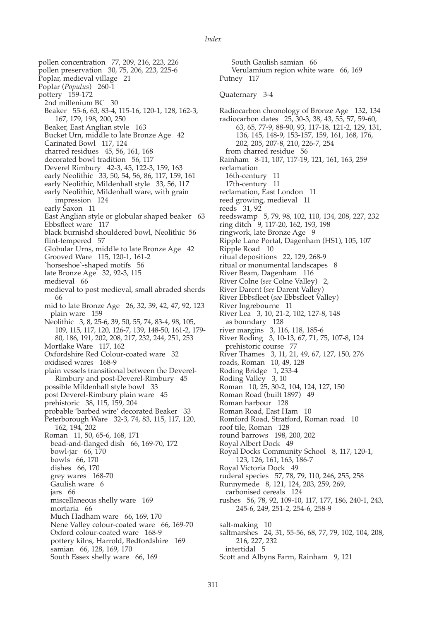pollen preservation 30, 75, 206, 223, 225-6 Poplar, medieval village 21 Poplar (*Populus*) 260-1 pottery 159-172 2nd millenium BC 30 Beaker 55-6, 63, 83-4, 115-16, 120-1, 128, 162-3, 167, 179, 198, 200, 250 Beaker, East Anglian style 163 Bucket Urn, middle to late Bronze Age 42 Carinated Bowl 117, 124 charred residues 45, 56, 161, 168 decorated bowl tradition 56, 117 Deverel Rimbury 42-3, 45, 122-3, 159, 163 early Neolithic 33, 50, 54, 56, 86, 117, 159, 161 early Neolithic, Mildenhall style 33, 56, 117 early Neolithic, Mildenhall ware, with grain impression 124 early Saxon 11 East Anglian style or globular shaped beaker 63 Ebbsfleet ware 117 black burnishd shouldered bowl, Neolithic 56 flint-tempered 57 Globular Urns, middle to late Bronze Age 42 Grooved Ware 115, 120-1, 161-2 `horseshoe`-shaped motifs 56 late Bronze Age 32, 92-3, 115 medieval 66 medieval to post medieval, small abraded sherds 66 mid to late Bronze Age 26, 32, 39, 42, 47, 92, 123 plain ware 159 Neolithic 3, 8, 25-6, 39, 50, 55, 74, 83-4, 98, 105, 109, 115, 117, 120, 126-7, 139, 148-50, 161-2, 179- 80, 186, 191, 202, 208, 217, 232, 244, 251, 253 Mortlake Ware 117, 162 Oxfordshire Red Colour-coated ware 32 oxidised wares 168-9 plain vessels transitional between the Deverel-Rimbury and post-Deverel-Rimbury 45 possible Mildenhall style bowl 33 post Deverel-Rimbury plain ware 45 prehistoric 38, 115, 159, 204 probable 'barbed wire' decorated Beaker 33 Peterborough Ware 32-3, 74, 83, 115, 117, 120, 162, 194, 202 Roman 11, 50, 65-6, 168, 171 bead-and-flanged dish 66, 169-70, 172 bowl-jar 66, 170 bowls 66, 170 dishes 66, 170 grey wares 168-70 Gaulish ware 6 jars 66 miscellaneous shelly ware 169 mortaria 66 Much Hadham ware 66, 169, 170 Nene Valley colour-coated ware 66, 169-70 Oxford colour-coated ware 168-9 pottery kilns, Harrold, Bedfordshire 169 samian 66, 128, 169, 170 South Essex shelly ware 66, 169

pollen concentration 77, 209, 216, 223, 226

South Gaulish samian 66 Verulamium region white ware 66, 169 Putney 117 Quaternary 3-4 Radiocarbon chronology of Bronze Age 132, 134 radiocarbon dates 25, 30-3, 38, 43, 55, 57, 59-60, 63, 65, 77-9, 88-90, 93, 117-18, 121-2, 129, 131, 136, 145, 148-9, 153-157, 159, 161, 168, 176, 202, 205, 207-8, 210, 226-7, 254 from charred residue 56 Rainham 8-11, 107, 117-19, 121, 161, 163, 259 reclamation 16th-century 11 17th-century 11 reclamation, East London 11 reed growing, medieval 11 reeds 31, 92 reedswamp 5, 79, 98, 102, 110, 134, 208, 227, 232 ring ditch 9, 117-20, 162, 193, 198 ringwork, late Bronze Age 9 Ripple Lane Portal, Dagenham (HS1), 105, 107 Ripple Road 10 ritual depositions 22, 129, 268-9 ritual or monumental landscapes 8 River Beam, Dagenham 116 River Colne (*see* Colne Valley) 2, River Darent (*see* Darent Valley) River Ebbsfleet (*see* Ebbsfleet Valley) River Ingrebourne 11 River Lea 3, 10, 21-2, 102, 127-8, 148 as boundary 128 river margins 3, 116, 118, 185-6 River Roding 3, 10-13, 67, 71, 75, 107-8, 124 prehistoric course 77 River Thames 3, 11, 21, 49, 67, 127, 150, 276 roads, Roman 10, 49, 128 Roding Bridge 1, 233-4 Roding Valley 3, 10 Roman 10, 25, 30-2, 104, 124, 127, 150 Roman Road (built 1897) 49 Roman harbour 128 Roman Road, East Ham 10 Romford Road, Stratford, Roman road 10 roof tile, Roman 128 round barrows 198, 200, 202 Royal Albert Dock 49 Royal Docks Community School 8, 117, 120-1, 123, 126, 161, 163, 186-7 Royal Victoria Dock 49 ruderal species 57, 78, 79, 110, 246, 255, 258 Runnymede 8, 121, 124, 203, 259, 269, carbonised cereals 124 rushes 56, 78, 92, 109-10, 117, 177, 186, 240-1, 243, 245-6, 249, 251-2, 254-6, 258-9 salt-making 10 saltmarshes 24, 31, 55-56, 68, 77, 79, 102, 104, 208, 216, 227, 232 intertidal 5

Scott and Albyns Farm, Rainham 9, 121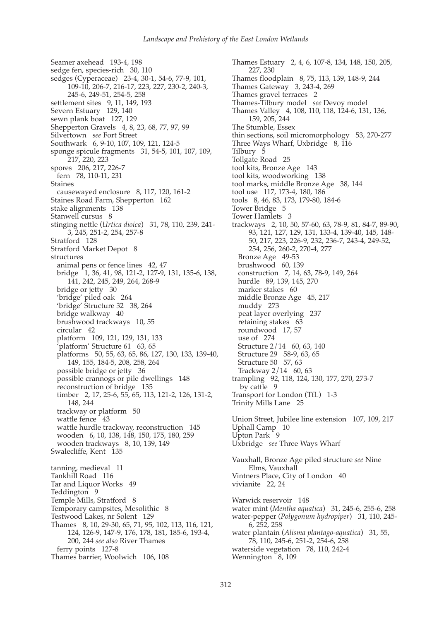Seamer axehead 193-4, 198 sedge fen, species-rich 30, 110 sedges (Cyperaceae) 23-4, 30-1, 54-6, 77-9, 101, 109-10, 206-7, 216-17, 223, 227, 230-2, 240-3, 245-6, 249-51, 254-5, 258 settlement sites 9, 11, 149, 193 Severn Estuary 129, 140 sewn plank boat 127, 129 Shepperton Gravels 4, 8, 23, 68, 77, 97, 99 Silvertown *see* Fort Street Southwark 6, 9-10, 107, 109, 121, 124-5 sponge spicule fragments 31, 54-5, 101, 107, 109, 217, 220, 223 spores 206, 217, 226-7 fern 78, 110-11, 231 Staines causewayed enclosure 8, 117, 120, 161-2 Staines Road Farm, Shepperton 162 stake alignments 138 Stanwell cursus 8 stinging nettle (*Urtica dioica*) 31, 78, 110, 239, 241- 3, 245, 251-2, 254, 257-8 Stratford 128 Stratford Market Depot 8 structures animal pens or fence lines 42, 47 bridge 1, 36, 41, 98, 121-2, 127-9, 131, 135-6, 138, 141, 242, 245, 249, 264, 268-9 bridge or jetty 30 'bridge' piled oak 264 'bridge' Structure 32 38, 264 bridge walkway 40 brushwood trackways 10, 55 circular 42 platform 109, 121, 129, 131, 133 'platform' Structure 61 63, 65 platforms 50, 55, 63, 65, 86, 127, 130, 133, 139-40, 149, 155, 184-5, 208, 258, 264 possible bridge or jetty 36 possible crannogs or pile dwellings 148 reconstruction of bridge 135 timber 2, 17, 25-6, 55, 65, 113, 121-2, 126, 131-2, 148, 244 trackway or platform 50 wattle fence 43 wattle hurdle trackway, reconstruction 145 wooden 6, 10, 138, 148, 150, 175, 180, 259 wooden trackways 8, 10, 139, 149 Swalecliffe, Kent 135 tanning, medieval 11 Tankhill Road 116 Tar and Liquor Works 49 Teddington 9 Temple Mills, Stratford 8 Temporary campsites, Mesolithic 8 Testwood Lakes, nr Solent 129 Thames 8, 10, 29-30, 65, 71, 95, 102, 113, 116, 121, 124, 126-9, 147-9, 176, 178, 181, 185-6, 193-4, 200, 244 *see also* River Thames ferry points 127-8 Thames barrier, Woolwich 106, 108

Thames Estuary 2, 4, 6, 107-8, 134, 148, 150, 205, 227, 230 Thames floodplain 8, 75, 113, 139, 148-9, 244 Thames Gateway 3, 243-4, 269 Thames gravel terraces 2 Thames-Tilbury model *see* Devoy model Thames Valley 4, 108, 110, 118, 124-6, 131, 136, 159, 205, 244 The Stumble, Essex thin sections, soil micromorphology 53, 270-277 Three Ways Wharf, Uxbridge 8, 116 Tilbury 5 Tollgate Road 25 tool kits, Bronze Age 143 tool kits, woodworking 138 tool marks, middle Bronze Age 38, 144 tool use 117, 173-4, 180, 186 tools 8, 46, 83, 173, 179-80, 184-6 Tower Bridge 5 Tower Hamlets 3 trackways 2, 10, 50, 57-60, 63, 78-9, 81, 84-7, 89-90, 93, 121, 127, 129, 131, 133-4, 139-40, 145, 148- 50, 217, 223, 226-9, 232, 236-7, 243-4, 249-52, 254, 256, 260-2, 270-4, 277 Bronze Age 49-53 brushwood 60, 139 construction 7, 14, 63, 78-9, 149, 264 hurdle 89, 139, 145, 270 marker stakes 60 middle Bronze Age 45, 217 muddy 273 peat layer overlying 237 retaining stakes 63 roundwood 17, 57 use of 274 Structure 2/14 60, 63, 140 Structure 29 58-9, 63, 65 Structure 50 57, 63 Trackway 2/14 60, 63 trampling 92, 118, 124, 130, 177, 270, 273-7 by cattle 9 Transport for London (TfL) 1-3 Trinity Mills Lane 25 Union Street, Jubilee line extension 107, 109, 217 Uphall Camp 10 Upton Park 9 Uxbridge *see* Three Ways Wharf Vauxhall, Bronze Age piled structure *see* Nine Elms, Vauxhall Vintners Place, City of London 40 vivianite 22, 24 Warwick reservoir 148 water mint (*Mentha aquatica*) 31, 245-6, 255-6, 258 water-pepper (*Polygonum hydropiper*) 31, 110, 245- 6, 252, 258 water plantain (*Alisma plantago-aquatica*) 31, 55,

78, 110, 245-6, 251-2, 254-6, 258 waterside vegetation 78, 110, 242-4

Wennington 8, 109